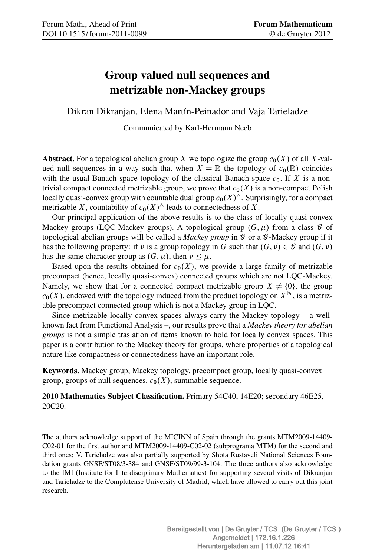# Group valued null sequences and metrizable non-Mackey groups

Dikran Dikranjan, Elena Martín-Peinador and Vaja Tarieladze

Communicated by Karl-Hermann Neeb

**Abstract.** For a topological abelian group X we topologize the group  $c_0(X)$  of all X-valued null sequences in a way such that when  $X = \mathbb{R}$  the topology of  $c_0(\mathbb{R})$  coincides with the usual Banach space topology of the classical Banach space  $c_0$ . If X is a nontrivial compact connected metrizable group, we prove that  $c_0(X)$  is a non-compact Polish locally quasi-convex group with countable dual group  $c_0(X)^\wedge$ . Surprisingly, for a compact metrizable X, countability of  $c_0(X)^\wedge$  leads to connectedness of X.

Our principal application of the above results is to the class of locally quasi-convex Mackey groups (LQC-Mackey groups). A topological group  $(G, \mu)$  from a class  $\mathcal G$  of topological abelian groups will be called a *Mackey group* in  $\mathcal G$  or a  $\mathcal G$ -Mackey group if it has the following property: if  $\nu$  is a group topology in G such that  $(G, \nu) \in \mathcal{G}$  and  $(G, \nu)$ has the same character group as  $(G, \mu)$ , then  $\nu \leq \mu$ .

Based upon the results obtained for  $c_0(X)$ , we provide a large family of metrizable precompact (hence, locally quasi-convex) connected groups which are not LQC-Mackey. Namely, we show that for a connected compact metrizable group  $X \neq \{0\}$ , the group  $c_0(X)$ , endowed with the topology induced from the product topology on  $X^{\mathbb{N}}$ , is a metrizable precompact connected group which is not a Mackey group in LQC.

Since metrizable locally convex spaces always carry the Mackey topology – a wellknown fact from Functional Analysis –, our results prove that a *Mackey theory for abelian groups* is not a simple traslation of items known to hold for locally convex spaces. This paper is a contribution to the Mackey theory for groups, where properties of a topological nature like compactness or connectedness have an important role.

Keywords. Mackey group, Mackey topology, precompact group, locally quasi-convex group, groups of null sequences,  $c_0(X)$ , summable sequence.

2010 Mathematics Subject Classification. Primary 54C40, 14E20; secondary 46E25, 20C20.

The authors acknowledge support of the MICINN of Spain through the grants MTM2009-14409- C02-01 for the first author and MTM2009-14409-C02-02 (subprograma MTM) for the second and third ones; V. Tarieladze was also partially supported by Shota Rustaveli National Sciences Foundation grants GNSF/ST08/3-384 and GNSF/ST09/99-3-104. The three authors also acknowledge to the IMI (Institute for Interdisciplinary Mathematics) for supporting several visits of Dikranjan and Tarieladze to the Complutense University of Madrid, which have allowed to carry out this joint research.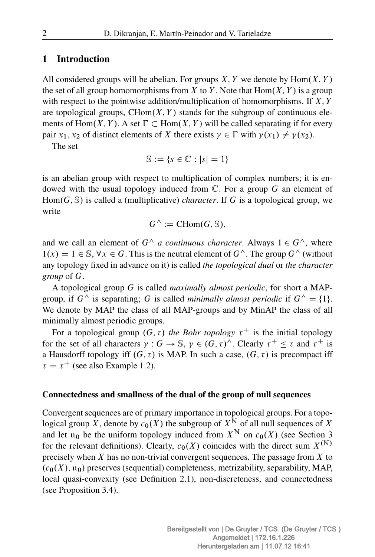## 1 Introduction

All considered groups will be abelian. For groups  $X, Y$  we denote by  $\text{Hom}(X, Y)$ the set of all group homomorphisms from X to Y. Note that  $\text{Hom}(X, Y)$  is a group with respect to the pointwise addition/multiplication of homomorphisms. If  $X, Y$ are topological groups, CHom $(X, Y)$  stands for the subgroup of continuous elements of Hom $(X, Y)$ . A set  $\Gamma \subset$  Hom $(X, Y)$  will be called separating if for every pair  $x_1, x_2$  of distinct elements of X there exists  $\gamma \in \Gamma$  with  $\gamma(x_1) \neq \gamma(x_2)$ .

The set

$$
\mathbb{S} := \{ s \in \mathbb{C} : |s| = 1 \}
$$

is an abelian group with respect to multiplication of complex numbers; it is endowed with the usual topology induced from  $\mathbb C$ . For a group  $G$  an element of  $Hom(G, \mathbb{S})$  is called a (multiplicative) *character*. If G is a topological group, we write

$$
G^{\wedge} := \text{CHom}(G, \mathbb{S}),
$$

and we call an element of  $G^{\wedge}$  *a continuous character*. Always  $1 \in G^{\wedge}$ , where  $1(x) = 1 \in \mathbb{S}, \forall x \in G$ . This is the neutral element of  $G^{\wedge}$ . The group  $G^{\wedge}$  (without any topology fixed in advance on it) is called *the topological dual* or *the character group* of G.

A topological group G is called *maximally almost periodic*, for short a MAPgroup, if  $G^{\wedge}$  is separating; G is called *minimally almost periodic* if  $G^{\wedge} = \{1\}$ . We denote by MAP the class of all MAP-groups and by MinAP the class of all minimally almost periodic groups.

For a topological group  $(G, \tau)$  the Bohr topology  $\tau^+$  is the initial topology for the set of all characters  $\gamma : G \to \mathbb{S}, \gamma \in (G, \tau)^\wedge$ . Clearly  $\tau^+ \leq \tau$  and  $\tau^+$  is a Hausdorff topology iff  $(G, \tau)$  is MAP. In such a case,  $(G, \tau)$  is precompact iff  $\tau = \tau^+$  (see also Example 1.2).

### Connectedness and smallness of the dual of the group of null sequences

Convergent sequences are of primary importance in topological groups. For a topological group X, denote by  $c_0(X)$  the subgroup of  $X^{\mathbb{N}}$  of all null sequences of X and let u<sub>0</sub> be the uniform topology induced from  $X^{\mathbb{N}}$  on  $c_0(X)$  (see Section 3 for the relevant definitions). Clearly,  $c_0(X)$  coincides with the direct sum  $X^{(\mathbb{N})}$ precisely when  $X$  has no non-trivial convergent sequences. The passage from  $X$  to  $(c_0(X), u_0)$  preserves (sequential) completeness, metrizability, separability, MAP, local quasi-convexity (see Definition 2.1), non-discreteness, and connectedness (see Proposition 3.4).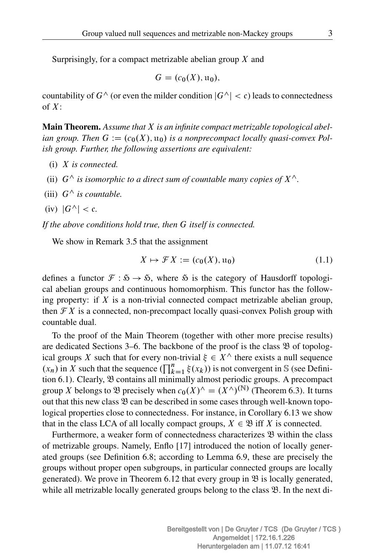Surprisingly, for a compact metrizable abelian group  $X$  and

$$
G=(c_0(X),\mathfrak{u}_0),
$$

countability of  $G^{\wedge}$  (or even the milder condition  $|G^{\wedge}| < c$ ) leads to connectedness of  $Y$ .

Main Theorem. *Assume that* X *is an infinite compact metrizable topological abel*ian group. Then  $G := (c_0(X), u_0)$  is a nonprecompact locally quasi-convex Pol*ish group. Further, the following assertions are equivalent:*

- (i) X *is connected.*
- (ii)  $G^{\wedge}$  *is isomorphic to a direct sum of countable many copies of*  $X^{\wedge}$ *.*
- (iii)  $G^{\wedge}$  *is countable.*
- (iv)  $|G^{\wedge}| < c$ .

*If the above conditions hold true, then* G *itself is connected.*

We show in Remark 3.5 that the assignment

$$
X \mapsto \mathcal{F}X := (c_0(X), \mathfrak{u}_0) \tag{1.1}
$$

defines a functor  $\mathcal{F} : \mathfrak{S} \to \mathfrak{S}$ , where  $\mathfrak{S}$  is the category of Hausdorff topological abelian groups and continuous homomorphism. This functor has the following property: if  $X$  is a non-trivial connected compact metrizable abelian group, then  $\mathcal{F} X$  is a connected, non-precompact locally quasi-convex Polish group with countable dual.

To the proof of the Main Theorem (together with other more precise results) are dedicated Sections  $3-6$ . The backbone of the proof is the class  $\mathfrak B$  of topological groups X such that for every non-trivial  $\xi \in X^{\wedge}$  there exists a null sequence  $(x_n)$  in X such that the sequence  $(\prod_{k=1}^n \xi(x_k))$  is not convergent in S (see Definition 6.1). Clearly, B contains all minimally almost periodic groups. A precompact group X belongs to B precisely when  $c_0(X)^\wedge = (X^\wedge)^{(\mathbb{N})}$  (Theorem 6.3). It turns out that this new class  $\mathfrak{B}$  can be described in some cases through well-known topological properties close to connectedness. For instance, in Corollary 6.13 we show that in the class LCA of all locally compact groups,  $X \in \mathcal{B}$  iff X is connected.

Furthermore, a weaker form of connectedness characterizes  $\mathfrak B$  within the class of metrizable groups. Namely, Enflo [17] introduced the notion of locally generated groups (see Definition 6.8; according to Lemma 6.9, these are precisely the groups without proper open subgroups, in particular connected groups are locally generated). We prove in Theorem 6.12 that every group in  $\mathfrak{B}$  is locally generated, while all metrizable locally generated groups belong to the class  $\mathcal{B}$ . In the next di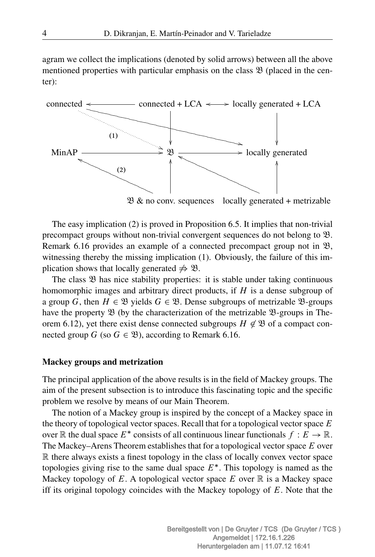agram we collect the implications (denoted by solid arrows) between all the above mentioned properties with particular emphasis on the class  $\mathfrak B$  (placed in the center):



 $\mathfrak{B}$  & no conv. sequences locally generated + metrizable

The easy implication (2) is proved in Proposition 6.5. It implies that non-trivial precompact groups without non-trivial convergent sequences do not belong to B. Remark 6.16 provides an example of a connected precompact group not in  $\mathfrak{B}$ , witnessing thereby the missing implication (1). Obviously, the failure of this implication shows that locally generated  $\neq$   $\mathfrak{B}$ .

The class  $\mathfrak B$  has nice stability properties: it is stable under taking continuous homomorphic images and arbitrary direct products, if  $H$  is a dense subgroup of a group G, then  $H \in \mathcal{B}$  yields  $G \in \mathcal{B}$ . Dense subgroups of metrizable  $\mathcal{B}$ -groups have the property  $\mathfrak B$  (by the characterization of the metrizable  $\mathfrak B$ -groups in Theorem 6.12), yet there exist dense connected subgroups  $H \notin \mathfrak{B}$  of a compact connected group G (so  $G \in \mathcal{B}$ ), according to Remark 6.16.

#### Mackey groups and metrization

The principal application of the above results is in the field of Mackey groups. The aim of the present subsection is to introduce this fascinating topic and the specific problem we resolve by means of our Main Theorem.

The notion of a Mackey group is inspired by the concept of a Mackey space in the theory of topological vector spaces. Recall that for a topological vector space  $E$ over  $\mathbb R$  the dual space  $E^*$  consists of all continuous linear functionals  $f : E \to \mathbb R$ . The Mackey–Arens Theorem establishes that for a topological vector space  $E$  over  $\mathbb R$  there always exists a finest topology in the class of locally convex vector space topologies giving rise to the same dual space  $E^*$ . This topology is named as the Mackey topology of E. A topological vector space E over  $\mathbb R$  is a Mackey space iff its original topology coincides with the Mackey topology of  $E$ . Note that the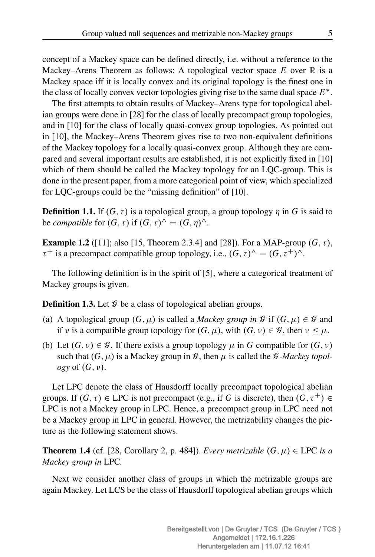concept of a Mackey space can be defined directly, i.e. without a reference to the Mackey–Arens Theorem as follows: A topological vector space E over  $\mathbb R$  is a Mackey space iff it is locally convex and its original topology is the finest one in the class of locally convex vector topologies giving rise to the same dual space  $E^*$ .

The first attempts to obtain results of Mackey–Arens type for topological abelian groups were done in [28] for the class of locally precompact group topologies, and in [10] for the class of locally quasi-convex group topologies. As pointed out in [10], the Mackey–Arens Theorem gives rise to two non-equivalent definitions of the Mackey topology for a locally quasi-convex group. Although they are compared and several important results are established, it is not explicitly fixed in [10] which of them should be called the Mackey topology for an LQC-group. This is done in the present paper, from a more categorical point of view, which specialized for LQC-groups could be the "missing definition" of [10].

**Definition 1.1.** If  $(G, \tau)$  is a topological group, a group topology  $\eta$  in G is said to be *compatible* for  $(G, \tau)$  if  $(G, \tau)^{\wedge} = (G, \eta)^{\wedge}$ .

**Example 1.2** ([11]; also [15, Theorem 2.3.4] and [28]). For a MAP-group  $(G, \tau)$ ,  $\tau^+$  is a precompact compatible group topology, i.e.,  $(G, \tau)^\wedge = (G, \tau^+)^\wedge$ .

The following definition is in the spirit of [5], where a categorical treatment of Mackey groups is given.

**Definition 1.3.** Let  $\mathcal{G}$  be a class of topological abelian groups.

- (a) A topological group  $(G, \mu)$  is called a *Mackey group in*  $\mathcal G$  if  $(G, \mu) \in \mathcal G$  and if v is a compatible group topology for  $(G, \mu)$ , with  $(G, \nu) \in \mathcal{G}$ , then  $\nu \leq \mu$ .
- (b) Let  $(G, v) \in \mathcal{G}$ . If there exists a group topology  $\mu$  in G compatible for  $(G, v)$ such that  $(G, \mu)$  is a Mackey group in  $\mathcal{G}$ , then  $\mu$  is called the  $\mathcal{G}$ -Mackey topol*ogy* of  $(G, v)$ .

Let LPC denote the class of Hausdorff locally precompact topological abelian groups. If  $(G, \tau) \in \text{LPC}$  is not precompact (e.g., if G is discrete), then  $(G, \tau^+) \in$ LPC is not a Mackey group in LPC. Hence, a precompact group in LPC need not be a Mackey group in LPC in general. However, the metrizability changes the picture as the following statement shows.

**Theorem 1.4** (cf. [28, Corollary 2, p. 484]). *Every metrizable*  $(G, \mu) \in$  LPC *is a Mackey group in* LPC*.*

Next we consider another class of groups in which the metrizable groups are again Mackey. Let LCS be the class of Hausdorff topological abelian groups which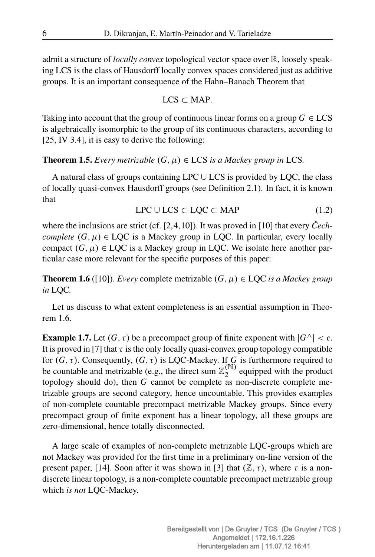admit a structure of *locally convex* topological vector space over R, loosely speaking LCS is the class of Hausdorff locally convex spaces considered just as additive groups. It is an important consequence of the Hahn–Banach Theorem that

$$
LCS\subset MAP.
$$

Taking into account that the group of continuous linear forms on a group  $G \in \text{LCS}$ is algebraically isomorphic to the group of its continuous characters, according to [25, IV 3.4], it is easy to derive the following:

### **Theorem 1.5.** *Every metrizable*  $(G, \mu) \in \text{LCS}$  *is a Mackey group in* LCS.

A natural class of groups containing LPC  $\cup$  LCS is provided by LOC, the class of locally quasi-convex Hausdorff groups (see Definition 2.1). In fact, it is known that

$$
LPC \cup LCS \subset LQC \subset MAP \tag{1.2}
$$

where the inclusions are strict (cf. [2, 4, 10]). It was proved in [10] that every  $\check{C}ech$ *complete*  $(G, \mu) \in LQC$  is a Mackey group in LQC. In particular, every locally compact  $(G, \mu) \in LQC$  is a Mackey group in LQC. We isolate here another particular case more relevant for the specific purposes of this paper:

**Theorem 1.6** ([10]). *Every* complete metrizable  $(G, \mu) \in LQC$  *is a Mackey group in* LQC*.*

Let us discuss to what extent completeness is an essential assumption in Theorem 1.6

**Example 1.7.** Let  $(G, \tau)$  be a precompact group of finite exponent with  $|G^{\wedge}| < \mathfrak{c}$ . It is proved in [7] that  $\tau$  is the only locally quasi-convex group topology compatible for  $(G, \tau)$ . Consequently,  $(G, \tau)$  is LQC-Mackey. If G is furthermore required to be countable and metrizable (e.g., the direct sum  $\mathbb{Z}_2^{(\mathbb{N})}$  $2^{N}$  equipped with the product topology should do), then  $G$  cannot be complete as non-discrete complete metrizable groups are second category, hence uncountable. This provides examples of non-complete countable precompact metrizable Mackey groups. Since every precompact group of finite exponent has a linear topology, all these groups are zero-dimensional, hence totally disconnected.

A large scale of examples of non-complete metrizable LQC-groups which are not Mackey was provided for the first time in a preliminary on-line version of the present paper, [14]. Soon after it was shown in [3] that  $(\mathbb{Z}, \tau)$ , where  $\tau$  is a nondiscrete linear topology, is a non-complete countable precompact metrizable group which *is not* LQC-Mackey.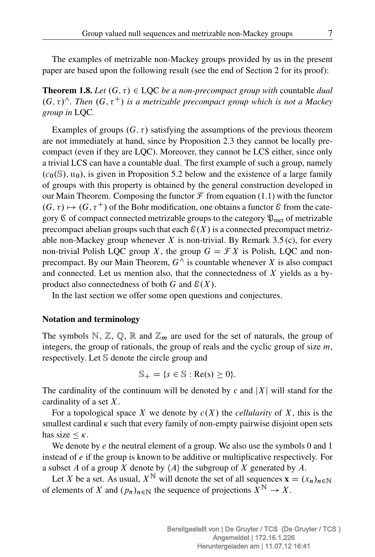The examples of metrizable non-Mackey groups provided by us in the present paper are based upon the following result (see the end of Section 2 for its proof):

**Theorem 1.8.** Let  $(G, \tau) \in LOC$  be a non-precompact group with countable dual  $(G, \tau)^\wedge$ . Then  $(G, \tau^+)$  is a metrizable precompact group which is not a Mackey *group in* LQC*.*

Examples of groups  $(G, \tau)$  satisfying the assumptions of the previous theorem are not immediately at hand, since by Proposition 2.3 they cannot be locally precompact (even if they are LQC). Moreover, they cannot be LCS either, since only a trivial LCS can have a countable dual. The first example of such a group, namely  $(c_0(\mathbb{S}), \mathfrak{u}_0)$ , is given in Proposition 5.2 below and the existence of a large family of groups with this property is obtained by the general construction developed in our Main Theorem. Composing the functor  $\mathcal F$  from equation (1.1) with the functor  $(G, \tau) \mapsto (G, \tau^+)$  of the Bohr modification, one obtains a functor  $\mathcal E$  from the category  $\mathfrak C$  of compact connected metrizable groups to the category  $\mathfrak P_{\rm met}$  of metrizable precompact abelian groups such that each  $\mathcal{E}(X)$  is a connected precompact metrizable non-Mackey group whenever X is non-trivial. By Remark  $3.5$  (c), for every non-trivial Polish LOC group X, the group  $G = \mathcal{F} X$  is Polish, LOC and nonprecompact. By our Main Theorem,  $G^{\wedge}$  is countable whenever X is also compact and connected. Let us mention also, that the connectedness of  $X$  yields as a byproduct also connectedness of both G and  $\mathcal{E}(X)$ .

In the last section we offer some open questions and conjectures.

### Notation and terminology

The symbols N, Z, Q, R and  $\mathbb{Z}_m$  are used for the set of naturals, the group of integers, the group of rationals, the group of reals and the cyclic group of size  $m$ , respectively. Let S denote the circle group and

$$
\mathbb{S}_+ = \{ s \in \mathbb{S} : \text{Re}(s) \ge 0 \}.
$$

The cardinality of the continuum will be denoted by c and  $|X|$  will stand for the cardinality of a set  $X$ .

For a topological space X we denote by  $c(X)$  the *cellularity* of X, this is the smallest cardinal  $\kappa$  such that every family of non-empty pairwise disjoint open sets has size  $\leq \kappa$ .

We denote by e the neutral element of a group. We also use the symbols 0 and 1 instead of  $e$  if the group is known to be additive or multiplicative respectively. For a subset A of a group X denote by  $\langle A \rangle$  the subgroup of X generated by A.

Let X be a set. As usual,  $X^{\mathbb{N}}$  will denote the set of all sequences  $\mathbf{x} = (x_n)_{n \in \mathbb{N}}$ of elements of X and  $(p_n)_{n \in \mathbb{N}}$  the sequence of projections  $X^{\mathbb{N}} \to X$ .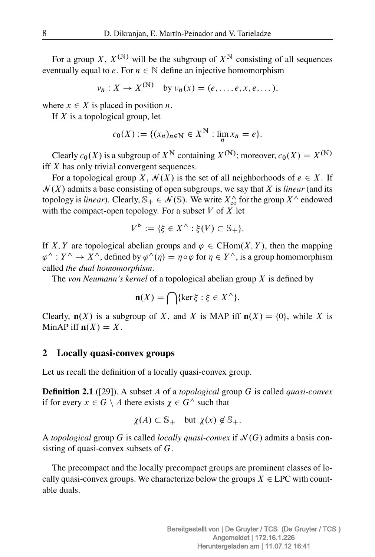For a group X,  $X^{(N)}$  will be the subgroup of  $X^N$  consisting of all sequences eventually equal to e. For  $n \in \mathbb{N}$  define an injective homomorphism

$$
\nu_n: X \to X^{(\mathbb{N})} \quad \text{by } \nu_n(x) = (e, \ldots, e, x, e, \ldots),
$$

where  $x \in X$  is placed in position n.

If  $X$  is a topological group, let

$$
c_0(X) := \{(x_n)_{n \in \mathbb{N}} \in X^{\mathbb{N}} : \lim_{n} x_n = e\}.
$$

Clearly  $c_0(X)$  is a subgroup of  $X^{\mathbb{N}}$  containing  $X^{(\mathbb{N})}$ ; moreover,  $c_0(X) = X^{(\mathbb{N})}$ iff  $X$  has only trivial convergent sequences.

For a topological group X,  $\mathcal{N}(X)$  is the set of all neighborhoods of  $e \in X$ . If  $\mathcal{N}(X)$  admits a base consisting of open subgroups, we say that X is *linear* (and its topology is *linear*). Clearly,  $\mathbb{S}_+ \in \mathcal{N}(\mathbb{S})$ . We write  $X_{\text{co}}^{\wedge}$  for the group  $X^{\wedge}$  endowed with the compact-open topology. For a subset  $V$  of  $X$  let

$$
V^{\triangleright} := \{ \xi \in X^{\wedge} : \xi(V) \subset \mathbb{S}_+ \}.
$$

If X, Y are topological abelian groups and  $\varphi \in \text{CHom}(X, Y)$ , then the mapping  $\varphi^{\wedge}: Y^{\wedge} \to X^{\wedge}$ , defined by  $\varphi^{\wedge}(\eta) = \eta \circ \varphi$  for  $\eta \in Y^{\wedge}$ , is a group homomorphism called *the dual homomorphism*.

The *von Neumann's kernel* of a topological abelian group X is defined by

$$
\mathbf{n}(X) = \bigcap \{ \ker \xi : \xi \in X^\wedge \}.
$$

Clearly,  $\mathbf{n}(X)$  is a subgroup of X, and X is MAP iff  $\mathbf{n}(X) = \{0\}$ , while X is MinAP iff  $n(X) = X$ .

## 2 Locally quasi-convex groups

Let us recall the definition of a locally quasi-convex group.

Definition 2.1 ([29]). A subset A of a *topological* group G is called *quasi-convex* if for every  $x \in G \setminus A$  there exists  $\chi \in G^{\wedge}$  such that

$$
\chi(A) \subset \mathbb{S}_+
$$
 but  $\chi(x) \notin \mathbb{S}_+.$ 

A *topological* group G is called *locally quasi-convex* if  $\mathcal{N}(G)$  admits a basis consisting of quasi-convex subsets of G.

The precompact and the locally precompact groups are prominent classes of locally quasi-convex groups. We characterize below the groups  $X \in \text{LPC}$  with countable duals.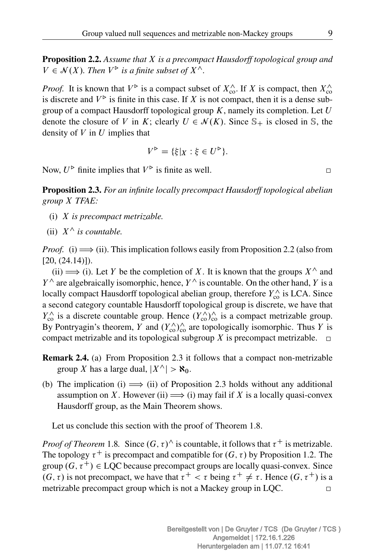Proposition 2.2. *Assume that* X *is a precompact Hausdorff topological group and*  $V \in \mathcal{N}(X)$ . Then  $V^{\triangleright}$  is a finite subset of  $X^{\wedge}$ .

*Proof.* It is known that  $V^{\triangleright}$  is a compact subset of  $X^{\wedge}_{\text{co}}$ . If X is compact, then  $X^{\wedge}_{\text{co}}$ is discrete and  $V^{\triangleright}$  is finite in this case. If X is not compact, then it is a dense subgroup of a compact Hausdorff topological group  $K$ , namely its completion. Let  $U$ denote the closure of V in K; clearly  $U \in \mathcal{N}(K)$ . Since  $\mathbb{S}_+$  is closed in  $\mathbb{S}$ , the density of  $V$  in  $U$  implies that

$$
V^{\triangleright} = \{ \xi |_{X} : \xi \in U^{\triangleright} \}.
$$

Now,  $U^{\triangleright}$  finite implies that  $V^{\triangleright}$  is finite as well.

Proposition 2.3. *For an infinite locally precompact Hausdorff topological abelian group* X *TFAE:*

- (i) X *is precompact metrizable.*
- (ii)  $X^{\wedge}$  *is countable.*

*Proof.* (i)  $\implies$  (ii). This implication follows easily from Proposition 2.2 (also from  $[20, (24.14)]$ .

(ii)  $\implies$  (i). Let Y be the completion of X. It is known that the groups  $X^{\wedge}$  and  $Y^{\wedge}$  are algebraically isomorphic, hence,  $Y^{\wedge}$  is countable. On the other hand, Y is a locally compact Hausdorff topological abelian group, therefore  $Y_{\text{co}}^{\wedge}$  is LCA. Since a second category countable Hausdorff topological group is discrete, we have that  $Y_{\rm co}^{\wedge}$  is a discrete countable group. Hence  $(Y_{\rm co}^{\wedge})_{\rm co}^{\wedge}$  is a compact metrizable group. By Pontryagin's theorem, Y and  $(Y_{\text{co}}^{\wedge})_{\text{co}}^{\wedge}$  are topologically isomorphic. Thus Y is compact metrizable and its topological subgroup X is precompact metrizable.  $\Box$ 

- Remark 2.4. (a) From Proposition 2.3 it follows that a compact non-metrizable group X has a large dual,  $|X^{\wedge}| > \aleph_0$ .
- (b) The implication (i)  $\implies$  (ii) of Proposition 2.3 holds without any additional assumption on X. However (ii)  $\Longrightarrow$  (i) may fail if X is a locally quasi-convex Hausdorff group, as the Main Theorem shows.

Let us conclude this section with the proof of Theorem 1.8.

*Proof of Theorem* 1.8. Since  $(G, \tau)^\wedge$  is countable, it follows that  $\tau^+$  is metrizable. The topology  $\tau^+$  is precompact and compatible for  $(G, \tau)$  by Proposition 1.2. The group  $(G, \tau^+) \in LQC$  because precompact groups are locally quasi-convex. Since  $(G, \tau)$  is not precompact, we have that  $\tau^+ < \tau$  being  $\tau^+ \neq \tau$ . Hence  $(G, \tau^+)$  is a metrizable precompact group which is not a Mackey group in LQC.  $\Box$ 

 $\Box$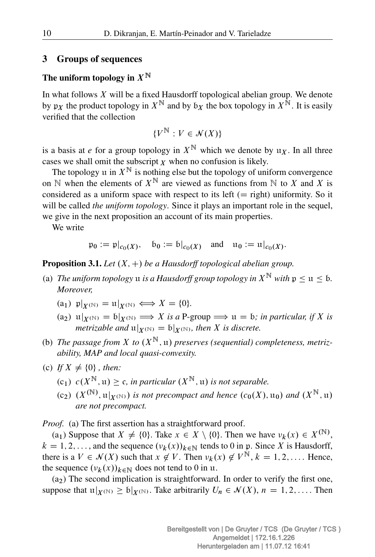## 3 Groups of sequences

## The uniform topology in  $X^{\mathbb{N}}$

In what follows  $X$  will be a fixed Hausdorff topological abelian group. We denote by px the product topology in  $X^{\mathbb{N}}$  and by bx the box topology in  $X^{\mathbb{N}}$ . It is easily verified that the collection

$$
\{V^{\mathbb{N}}: V \in \mathcal{N}(X)\}
$$

is a basis at *e* for a group topology in  $X^{\mathbb{N}}$  which we denote by  $u_X$ . In all three cases we shall omit the subscript  $\chi$  when no confusion is likely.

The topology u in  $X^{\mathbb{N}}$  is nothing else but the topology of uniform convergence on N when the elements of  $X^N$  are viewed as functions from N to X and X is considered as a uniform space with respect to its left  $(=$  right) uniformity. So it will be called *the uniform topology*. Since it plays an important role in the sequel, we give in the next proposition an account of its main properties.

We write

$$
p_0 := p|_{c_0(X)}
$$
,  $b_0 := b|_{c_0(X)}$  and  $u_0 := u|_{c_0(X)}$ .

**Proposition 3.1.** Let  $(X, +)$  be a Hausdorff topological abelian group.

- (a) *The uniform topology* u *is a Hausdorff group topology in*  $X^{\mathbb{N}}$  *with*  $p \leq u \leq b$ *. Moreover,*
	- (a<sub>1</sub>)  $p|_{\mathbf{v}(\mathbb{N})} = u|_{\mathbf{v}(\mathbb{N})} \Longleftrightarrow X = \{0\}.$
	- (a<sub>2</sub>)  $\text{u}|_{X^{(\mathbb{N})}} = \text{b}|_{X^{(\mathbb{N})}} \Longrightarrow X$  *is a* P-group  $\Longrightarrow \text{u} = \text{b}$ *; in particular, if* X *is metrizable and*  $\mathfrak{u}|_{X(\mathbb{N})} = \mathfrak{b}|_{X(\mathbb{N})}$ *, then* X *is discrete.*
- (b) The passage from X to  $(X^{\mathbb{N}}, u)$  preserves (sequential) completeness, metriz*ability, MAP and local quasi-convexity.*
- (c) If  $X \neq \{0\}$ , then:
	- (c<sub>1</sub>)  $c(X^{\mathbb{N}}, u) \geq c$ , in particular  $(X^{\mathbb{N}}, u)$  is not separable.
	- $(c_2)$   $(X^{(\mathbb{N})}, \mathfrak{u}|_{X^{(\mathbb{N})}})$  is not precompact and hence  $(c_0(X), \mathfrak{u}_0)$  and  $(X^{\mathbb{N}}, \mathfrak{u})$ *are not precompact.*

*Proof.* (a) The first assertion has a straightforward proof.

(a<sub>1</sub>) Suppose that  $X \neq \{0\}$ . Take  $x \in X \setminus \{0\}$ . Then we have  $v_k(x) \in X^{(\mathbb{N})}$ ,  $k = 1, 2, \ldots$ , and the sequence  $(v_k(x))_{k \in \mathbb{N}}$  tends to 0 in p. Since X is Hausdorff, there is a  $V \in \mathcal{N}(X)$  such that  $x \notin V$ . Then  $v_k(x) \notin V^{\mathbb{N}}, k = 1, 2, \dots$ . Hence, the sequence  $(v_k(x))_{k\in\mathbb{N}}$  does not tend to 0 in u.

 $(a<sub>2</sub>)$  The second implication is straightforward. In order to verify the first one, suppose that  $\mathfrak{u}|_{X^{(\mathbb{N})}} \geq \mathfrak{b}|_{X^{(\mathbb{N})}}$ . Take arbitrarily  $U_n \in \mathcal{N}(X)$ ,  $n = 1, 2, \dots$ . Then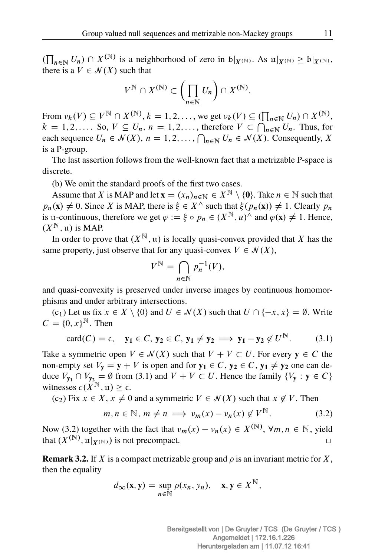$(\prod_{n\in\mathbb{N}} U_n) \cap X^{(\mathbb{N})}$  is a neighborhood of zero in  $\mathfrak{b}|_{X^{(\mathbb{N})}}$ . As  $\mathfrak{u}|_{X^{(\mathbb{N})}} \geq \mathfrak{b}|_{X^{(\mathbb{N})}}$ , there is a  $V \in \mathcal{N}(X)$  such that

$$
V^{\mathbb{N}} \cap X^{(\mathbb{N})} \subset \left(\prod_{n \in \mathbb{N}} U_n\right) \cap X^{(\mathbb{N})}.
$$

From  $v_k(V) \subseteq V^{\mathbb{N}} \cap X^{(\mathbb{N})}, k = 1, 2, ...,$  we get  $v_k(V) \subseteq (\prod_{n \in \mathbb{N}} U_n) \cap X^{(\mathbb{N})}$ ,  $k = 1, 2, \ldots$  So,  $V \subseteq U_n$ ,  $n = 1, 2, \ldots$ , therefore  $V \subset \bigcap_{n \in \mathbb{N}} U_n$ . Thus, for each sequence  $U_n \in \mathcal{N}(X)$ ,  $n = 1, 2, ..., \bigcap_{n \in \mathbb{N}} U_n \in \mathcal{N}(X)$ . Consequently, X is a P-group.

The last assertion follows from the well-known fact that a metrizable P-space is discrete.

(b) We omit the standard proofs of the first two cases.

Assume that X is MAP and let  $\mathbf{x} = (x_n)_{n \in \mathbb{N}} \in X^{\mathbb{N}} \setminus \{0\}$ . Take  $n \in \mathbb{N}$  such that  $p_n(\mathbf{x}) \neq 0$ . Since X is MAP, there is  $\xi \in X^{\wedge}$  such that  $\xi(p_n(\mathbf{x})) \neq 1$ . Clearly  $p_n$ is u-continuous, therefore we get  $\varphi := \xi \circ p_n \in (X^{\mathbb{N}}, u)^\wedge$  and  $\varphi(\mathbf{x}) \neq 1$ . Hence,  $(X^{\mathbb{N}}$ , u) is MAP.

In order to prove that  $(X^{\mathbb{N}}, u)$  is locally quasi-convex provided that X has the same property, just observe that for any quasi-convex  $V \in \mathcal{N}(X)$ ,

$$
V^{\mathbb{N}} = \bigcap_{n \in \mathbb{N}} p_n^{-1}(V),
$$

and quasi-convexity is preserved under inverse images by continuous homomorphisms and under arbitrary intersections.

(c<sub>1</sub>) Let us fix  $x \in X \setminus \{0\}$  and  $U \in \mathcal{N}(X)$  such that  $U \cap \{-x, x\} = \emptyset$ . Write  $C = \{0, x\}^{\mathbb{N}}$ . Then

$$
card(C) = c, \quad \mathbf{y_1} \in C, \ \mathbf{y_2} \in C, \ \mathbf{y_1} \neq \mathbf{y_2} \implies \mathbf{y_1} - \mathbf{y_2} \notin U^{\mathbb{N}}.
$$
 (3.1)

Take a symmetric open  $V \in \mathcal{N}(X)$  such that  $V + V \subset U$ . For every  $y \in C$  the non-empty set  $V_y = y + V$  is open and for  $y_1 \in C$ ,  $y_2 \in C$ ,  $y_1 \neq y_2$  one can deduce  $V_{\mathbf{v}_1} \cap V_{\mathbf{v}_2} = \emptyset$  from (3.1) and  $V + V \subset U$ . Hence the family  $\{V_{\mathbf{v}} : \mathbf{y} \in C\}$ witnesses  $c(X^{\mathbb{N}}, u) > c$ .

(c<sub>2</sub>) Fix  $x \in X$ ,  $x \neq 0$  and a symmetric  $V \in \mathcal{N}(X)$  such that  $x \notin V$ . Then

$$
m, n \in \mathbb{N}, m \neq n \implies \nu_m(x) - \nu_n(x) \notin V^{\mathbb{N}}.
$$
 (3.2)

Now (3.2) together with the fact that  $\nu_m(x) - \nu_n(x) \in X^{(\mathbb{N})}$ ,  $\forall m, n \in \mathbb{N}$ , yield that  $(X^{(\mathbb{N})}, \mathfrak{u}|_{X^{(\mathbb{N})}})$  is not precompact.  $\Box$ 

**Remark 3.2.** If X is a compact metrizable group and  $\rho$  is an invariant metric for X, then the equality

$$
d_{\infty}(\mathbf{x}, \mathbf{y}) = \sup_{n \in \mathbb{N}} \rho(x_n, y_n), \quad \mathbf{x}, \mathbf{y} \in X^{\mathbb{N}},
$$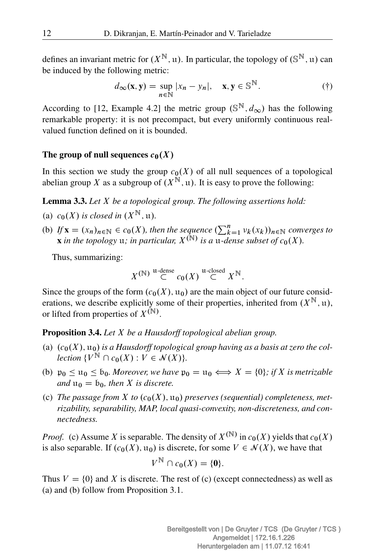defines an invariant metric for  $(X^{\mathbb{N}}, u)$ . In particular, the topology of  $(\mathbb{S}^{\mathbb{N}}, u)$  can be induced by the following metric:

$$
d_{\infty}(\mathbf{x}, \mathbf{y}) = \sup_{n \in \mathbb{N}} |x_n - y_n|, \quad \mathbf{x}, \mathbf{y} \in \mathbb{S}^{\mathbb{N}}.
$$
 (†)

According to [12, Example 4.2] the metric group ( $\mathbb{S}^{\mathbb{N}}, d_{\infty}$ ) has the following remarkable property: it is not precompact, but every uniformly continuous realvalued function defined on it is bounded.

### The group of null sequences  $c_0(X)$

In this section we study the group  $c_0(X)$  of all null sequences of a topological abelian group X as a subgroup of  $(X^{\mathbb{N}}, u)$ . It is easy to prove the following:

Lemma 3.3. *Let* X *be a topological group. The following assertions hold:*

- (a)  $c_0(X)$  *is closed in*  $(X^{\mathbb{N}}, \mathfrak{u})$ *.*
- (b) If  $\mathbf{x} = (x_n)_{n \in \mathbb{N}} \in c_0(X)$ , then the sequence  $(\sum_{k=1}^n v_k(x_k))_{n \in \mathbb{N}}$  converges to **x** in the topology  $\mathfrak{u}$ ; in particular,  $X^{(\mathbb{N})}$  is a  $\mathfrak{u}$ -dense subset of  $c_0(X)$ .

Thus, summarizing:

$$
X^{(\mathbb{N})} \overset{\text{u-dense}}{\subset} c_0(X) \overset{\text{u-closed}}{\subset} X^{\mathbb{N}}.
$$

Since the groups of the form  $(c_0(X), u_0)$  are the main object of our future considerations, we describe explicitly some of their properties, inherited from  $(X^{\mathbb{N}}, u)$ , or lifted from properties of  $X^{(\mathbb{N})}$ .

Proposition 3.4. *Let* X *be a Hausdorff topological abelian group.*

- (a)  $(c_0(X), u_0)$  is a Hausdorff topological group having as a basis at zero the col*lection*  $\{V^{\mathbb{N}} \cap c_0(X) : V \in \mathcal{N}(X)\}.$
- (b)  $p_0 \le u_0 \le b_0$ *. Moreover, we have*  $p_0 = u_0 \iff X = \{0\}$ *; if* X is metrizable *and*  $u_0 = b_0$ *, then X is discrete.*
- (c) The passage from X to  $(c_0(X), u_0)$  preserves (sequential) completeness, met*rizability, separability, MAP, local quasi-convexity, non-discreteness, and connectedness.*

*Proof.* (c) Assume X is separable. The density of  $X^{(N)}$  in  $c_0(X)$  yields that  $c_0(X)$ is also separable. If  $(c_0(X), u_0)$  is discrete, for some  $V \in \mathcal{N}(X)$ , we have that

$$
V^{\mathbb{N}}\cap c_0(X)=\{\mathbf{0}\}.
$$

Thus  $V = \{0\}$  and X is discrete. The rest of (c) (except connectedness) as well as (a) and (b) follow from Proposition 3.1.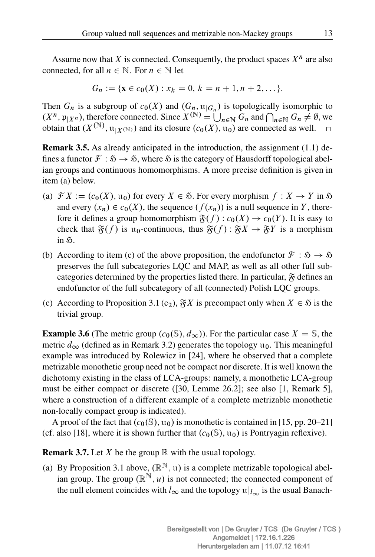Assume now that  $X$  is connected. Consequently, the product spaces  $X^n$  are also connected, for all  $n \in \mathbb{N}$ . For  $n \in \mathbb{N}$  let

$$
G_n := \{ \mathbf{x} \in c_0(X) : x_k = 0, \, k = n+1, n+2, \dots \}.
$$

Then  $G_n$  is a subgroup of  $c_0(X)$  and  $(G_n, u_{|G_n})$  is topologically isomorphic to  $(X^n, \mathfrak{p}_{|X^n})$ , therefore connected. Since  $X^{(\mathbb{N})} = \bigcup_{n \in \mathbb{N}} G_n$  and  $\bigcap_{n \in \mathbb{N}} G_n \neq \emptyset$ , we obtain that  $(X^{(N)}, u_{|X^{(N)}})$  and its closure  $(c_0(X), u_0)$  are connected as well.

Remark 3.5. As already anticipated in the introduction, the assignment (1.1) defines a functor  $\mathcal{F}: \mathfrak{H} \to \mathfrak{H}$ , where  $\mathfrak{H}$  is the category of Hausdorff topological abelian groups and continuous homomorphisms. A more precise definition is given in item (a) below.

- (a)  $\mathcal{F} X := (c_0(X), \mathfrak{u}_0)$  for every  $X \in \mathfrak{H}$ . For every morphism  $f : X \to Y$  in  $\mathfrak{H}$ and every  $(x_n) \in c_0(X)$ , the sequence  $(f(x_n))$  is a null sequence in Y, therefore it defines a group homomorphism  $\mathfrak{F}(f)$ :  $c_0(X) \to c_0(Y)$ . It is easy to check that  $\mathfrak{F}(f)$  is u<sub>0</sub>-continuous, thus  $\mathfrak{F}(f)$ :  $\mathfrak{F}X \to \mathfrak{F}Y$  is a morphism in  $\mathfrak{H}$ .
- (b) According to item (c) of the above proposition, the endofunctor  $\mathcal{F} : \mathfrak{H} \to \mathfrak{H}$ preserves the full subcategories LQC and MAP, as well as all other full subcategories determined by the properties listed there. In particular,  $\tilde{\gamma}$  defines an endofunctor of the full subcategory of all (connected) Polish LQC groups.
- (c) According to Proposition 3.1 (c<sub>2</sub>),  $\tilde{\mathcal{K}}X$  is precompact only when  $X \in \tilde{\mathcal{S}}$  is the trivial group.

**Example 3.6** (The metric group  $(c_0(\mathbb{S}), d_\infty)$ ). For the particular case  $X = \mathbb{S}$ , the metric  $d_{\infty}$  (defined as in Remark 3.2) generates the topology  $u_0$ . This meaningful example was introduced by Rolewicz in [24], where he observed that a complete metrizable monothetic group need not be compact nor discrete. It is well known the dichotomy existing in the class of LCA-groups: namely, a monothetic LCA-group must be either compact or discrete ([30, Lemme 26.2]; see also [1, Remark 5], where a construction of a different example of a complete metrizable monothetic non-locally compact group is indicated).

A proof of the fact that  $(c_0(\mathbb{S}), \mathfrak{u}_0)$  is monothetic is contained in [15, pp. 20–21] (cf. also [18], where it is shown further that  $(c_0(S), u_0)$  is Pontryagin reflexive).

**Remark 3.7.** Let X be the group  $\mathbb R$  with the usual topology.

(a) By Proposition 3.1 above,  $(\mathbb{R}^N, u)$  is a complete metrizable topological abelian group. The group  $(\mathbb{R}^N, u)$  is not connected; the connected component of the null element coincides with  $l_{\infty}$  and the topology  $u|_{l_{\infty}}$  is the usual Banach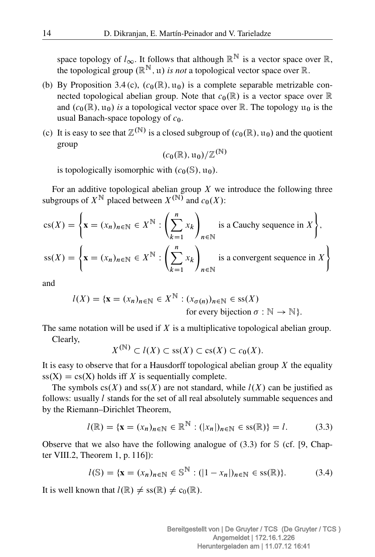space topology of  $l_{\infty}$ . It follows that although  $\mathbb{R}^{\mathbb{N}}$  is a vector space over  $\mathbb{R}$ . the topological group  $(\mathbb{R}^{\mathbb{N}}, \mathfrak{u})$  *is not* a topological vector space over  $\mathbb{R}$ .

- (b) By Proposition 3.4 (c),  $(c_0(\mathbb{R}), \mathfrak{u}_0)$  is a complete separable metrizable connected topological abelian group. Note that  $c_0(\mathbb{R})$  is a vector space over  $\mathbb R$ and  $(c_0(\mathbb{R}), \mathfrak{u}_0)$  *is* a topological vector space over  $\mathbb{R}$ . The topology  $\mathfrak{u}_0$  is the usual Banach-space topology of  $c_0$ .
- (c) It is easy to see that  $\mathbb{Z}^{(\mathbb{N})}$  is a closed subgroup of  $(c_0(\mathbb{R}), \mathfrak{u}_0)$  and the quotient group

$$
(c_0(\mathbb{R}), \mathfrak{u}_0)/\mathbb{Z}^{(\mathbb{N})}
$$

is topologically isomorphic with  $(c_0(\mathbb{S}), \mathfrak{u}_0)$ .

For an additive topological abelian group  $X$  we introduce the following three subgroups of  $X^{\mathbb{N}}$  placed between  $X^{(\mathbb{N})}$  and  $c_0(X)$ :

$$
cs(X) = \left\{ \mathbf{x} = (x_n)_{n \in \mathbb{N}} \in X^{\mathbb{N}} : \left( \sum_{k=1}^n x_k \right)_{n \in \mathbb{N}} \text{ is a Cauchy sequence in } X \right\},
$$
  

$$
ss(X) = \left\{ \mathbf{x} = (x_n)_{n \in \mathbb{N}} \in X^{\mathbb{N}} : \left( \sum_{k=1}^n x_k \right)_{n \in \mathbb{N}} \text{ is a convergent sequence in } X \right\}
$$

and

$$
l(X) = \{ \mathbf{x} = (x_n)_{n \in \mathbb{N}} \in X^{\mathbb{N}} : (x_{\sigma(n)})_{n \in \mathbb{N}} \in \text{ss}(X)
$$
  
for every bijection  $\sigma : \mathbb{N} \to \mathbb{N} \}.$ 

The same notation will be used if  $X$  is a multiplicative topological abelian group.

Clearly,

$$
X^{(N)} \subset l(X) \subset \text{ss}(X) \subset \text{cs}(X) \subset c_0(X).
$$

It is easy to observe that for a Hausdorff topological abelian group  $X$  the equality  $ss(X) = cs(X)$  holds iff X is sequentially complete.

The symbols  $cs(X)$  and  $ss(X)$  are not standard, while  $l(X)$  can be justified as follows: usually *l* stands for the set of all real absolutely summable sequences and by the Riemann–Dirichlet Theorem,

$$
l(\mathbb{R}) = \{ \mathbf{x} = (x_n)_{n \in \mathbb{N}} \in \mathbb{R}^{\mathbb{N}} : (|x_n|)_{n \in \mathbb{N}} \in \text{ss}(\mathbb{R}) \} = l. \tag{3.3}
$$

Observe that we also have the following analogue of  $(3.3)$  for S (cf. [9, Chapter VIII.2, Theorem 1, p. 116]):

$$
l(\mathbb{S}) = \{ \mathbf{x} = (x_n)_{n \in \mathbb{N}} \in \mathbb{S}^{\mathbb{N}} : (|1 - x_n|)_{n \in \mathbb{N}} \in \text{ss}(\mathbb{R}) \}. \tag{3.4}
$$

It is well known that  $l(\mathbb{R}) \neq \text{ss}(\mathbb{R}) \neq c_0(\mathbb{R})$ .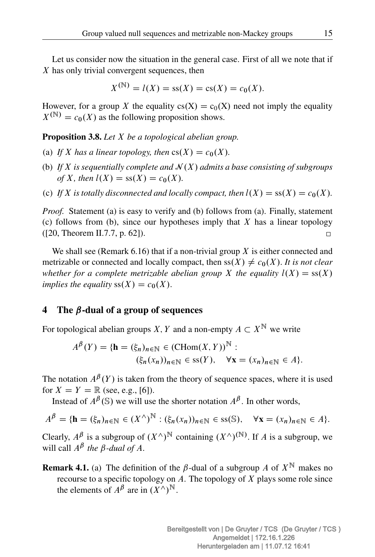Let us consider now the situation in the general case. First of all we note that if  $X$  has only trivial convergent sequences, then

$$
X^{(N)} = l(X) = ss(X) = cs(X) = c_0(X).
$$

However, for a group X the equality  $cs(X) = c_0(X)$  need not imply the equality  $X^{(N)} = c_0(X)$  as the following proposition shows.

Proposition 3.8. *Let* X *be a topological abelian group.*

- (a) If X has a linear topology, then  $cs(X) = c_0(X)$ .
- (b) If X is sequentially complete and  $\mathcal{N}(X)$  admits a base consisting of subgroups *of X, then*  $l(X) = ss(X) = c_0(X)$ *.*
- (c) If X is totally disconnected and locally compact, then  $l(X) = ss(X) = c_0(X)$ *.*

*Proof.* Statement (a) is easy to verify and (b) follows from (a). Finally, statement (c) follows from (b), since our hypotheses imply that  $X$  has a linear topology ([20, Theorem II.7.7, p. 62]).  $\Box$ 

We shall see (Remark 6.16) that if a non-trivial group X is either connected and metrizable or connected and locally compact, then  $ss(X) \neq c_0(X)$ . It is not clear *whether for a complete metrizable abelian group* X *the equality*  $l(X) = ss(X)$ *implies the equality*  $ss(X) = c_0(X)$ .

## 4 The  $\beta$ -dual of a group of sequences

For topological abelian groups X, Y and a non-empty  $A \subset X^{\mathbb{N}}$  we write

$$
A^{\beta}(Y) = \{ \mathbf{h} = (\xi_n)_{n \in \mathbb{N}} \in (\text{CHom}(X, Y))^{\mathbb{N}} : \\ (\xi_n(x_n))_{n \in \mathbb{N}} \in \text{ss}(Y), \quad \forall \mathbf{x} = (x_n)_{n \in \mathbb{N}} \in A \}.
$$

The notation  $A^{\beta}(Y)$  is taken from the theory of sequence spaces, where it is used for  $X = Y = \mathbb{R}$  (see, e.g., [6]).

Instead of  $A^{\beta}$ (S) we will use the shorter notation  $A^{\beta}$ . In other words,

$$
A^{\beta} = \{ \mathbf{h} = (\xi_n)_{n \in \mathbb{N}} \in (X^{\wedge})^{\mathbb{N}} : (\xi_n(x_n))_{n \in \mathbb{N}} \in \text{ss}(\mathbb{S}), \quad \forall \mathbf{x} = (x_n)_{n \in \mathbb{N}} \in A \}.
$$

Clearly,  $A^{\beta}$  is a subgroup of  $(X^{\wedge})^{\mathbb{N}}$  containing  $(X^{\wedge})^{(\mathbb{N})}$ . If A is a subgroup, we will call  $A^{\beta}$  the  $\beta$ -dual of A.

**Remark 4.1.** (a) The definition of the  $\beta$ -dual of a subgroup A of  $X^{\mathbb{N}}$  makes no recourse to a specific topology on  $A$ . The topology of  $X$  plays some role since the elements of  $A^{\beta}$  are in  $(X^{\wedge})^{\mathbb{N}}$ .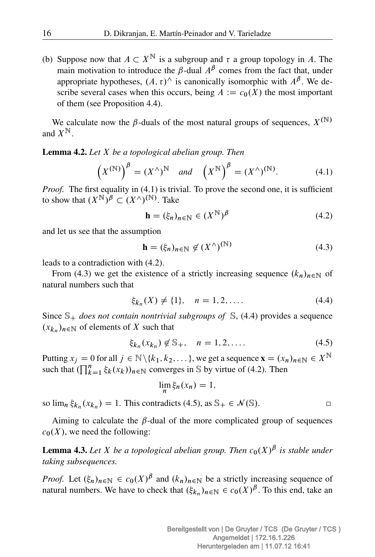(b) Suppose now that  $A \subset X^{\mathbb{N}}$  is a subgroup and  $\tau$  a group topology in A. The main motivation to introduce the  $\beta$ -dual  $A^{\beta}$  comes from the fact that, under appropriate hypotheses,  $(A, \tau)$ <sup>^</sup> is canonically isomorphic with  $A^{\beta}$ . We describe several cases when this occurs, being  $A := c_0(X)$  the most important of them (see Proposition 4.4).

We calculate now the  $\beta$ -duals of the most natural groups of sequences,  $X^{(\mathbb{N})}$ and  $X^{\mathbb{N}}$ .

Lemma 4.2. *Let* X *be a topological abelian group. Then*

$$
\left(X^{(\mathbb{N})}\right)^{\beta} = \left(X^{\wedge}\right)^{\mathbb{N}} \quad \text{and} \quad \left(X^{\mathbb{N}}\right)^{\beta} = \left(X^{\wedge}\right)^{(\mathbb{N})}.\tag{4.1}
$$

*Proof.* The first equality in (4.1) is trivial. To prove the second one, it is sufficient to show that  $(X^{\mathbb{N}})^{\beta} \subset (X^{\wedge})^{(\mathbb{N})}$ . Take

$$
\mathbf{h} = (\xi_n)_{n \in \mathbb{N}} \in (X^{\mathbb{N}})^{\beta} \tag{4.2}
$$

and let us see that the assumption

$$
\mathbf{h} = (\xi_n)_{n \in \mathbb{N}} \notin (X^\wedge)^{(\mathbb{N})} \tag{4.3}
$$

leads to a contradiction with (4.2).

From (4.3) we get the existence of a strictly increasing sequence  $(k_n)_{n \in \mathbb{N}}$  of natural numbers such that

$$
\xi_{k_n}(X) \neq \{1\}, \quad n = 1, 2, \dots \tag{4.4}
$$

Since  $\mathbb{S}_+$  *does not contain nontrivial subgroups of*  $\mathbb{S}$ , (4.4) provides a sequence  $(x_{k_n})_{n \in \mathbb{N}}$  of elements of X such that

$$
\xi_{k_n}(x_{k_n}) \notin \mathbb{S}_+, \quad n = 1, 2, .... \tag{4.5}
$$

Putting  $x_i = 0$  for all  $j \in \mathbb{N} \setminus \{k_1, k_2, \dots\}$ , we get a sequence  $\mathbf{x} = (x_n)_{n \in \mathbb{N}} \in X^{\mathbb{N}}$ such that  $(\prod_{k=1}^n \xi_k(x_k))_{n \in \mathbb{N}}$  converges in S by virtue of (4.2). Then

$$
\lim_{n} \xi_n(x_n) = 1,
$$

so  $\lim_{n} \xi_{k_n}(x_{k_n}) = 1$ . This contradicts (4.5), as  $\mathbb{S}_+ \in \mathcal{N}(\mathbb{S})$ .

Aiming to calculate the  $\beta$ -dual of the more complicated group of sequences  $c_0(X)$ , we need the following:

**Lemma 4.3.** Let X be a topological abelian group. Then  $c_0(X)$ <sup> $\beta$ </sup> is stable under *taking subsequences.*

*Proof.* Let  $(\xi_n)_{n \in \mathbb{N}} \in c_0(X)^\beta$  and  $(k_n)_{n \in \mathbb{N}}$  be a strictly increasing sequence of natural numbers. We have to check that  $(\xi_{k_n})_{n \in \mathbb{N}} \in c_0(X)^\beta$ . To this end, take an

 $\Box$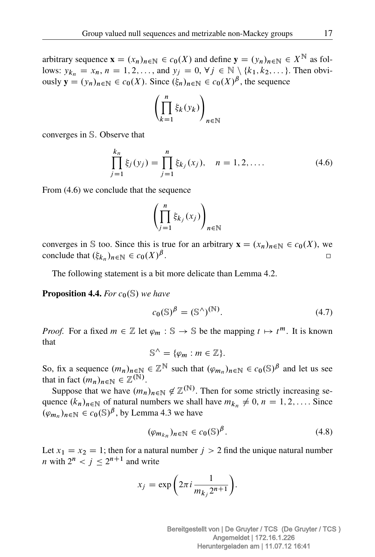arbitrary sequence  $\mathbf{x} = (x_n)_{n \in \mathbb{N}} \in c_0(X)$  and define  $\mathbf{y} = (y_n)_{n \in \mathbb{N}} \in X^{\mathbb{N}}$  as follows:  $y_{k_n} = x_n$ ,  $n = 1, 2, ...,$  and  $y_j = 0$ ,  $\forall j \in \mathbb{N} \setminus \{k_1, k_2, ...\}$ . Then obviously  $\mathbf{y} = (y_n)_{n \in \mathbb{N}} \in c_0(X)$ . Since  $(\xi_n)_{n \in \mathbb{N}} \in c_0(X)^\beta$ , the sequence

$$
\left(\prod_{k=1}^n \xi_k(y_k)\right)_{n \in \mathbb{N}}
$$

converges in S. Observe that

$$
\prod_{j=1}^{k_n} \xi_j(y_j) = \prod_{j=1}^n \xi_{k_j}(x_j), \quad n = 1, 2, .... \tag{4.6}
$$

From (4.6) we conclude that the sequence

$$
\left(\prod_{j=1}^n \xi_{k_j}(x_j)\right)_{n\in\mathbb{N}}
$$

converges in S too. Since this is true for an arbitrary  $\mathbf{x} = (x_n)_{n \in \mathbb{N}} \in c_0(X)$ , we conclude that  $(\xi_{k_n})_{n \in \mathbb{N}} \in c_0(X)^\beta$ .  $\Box$ 

The following statement is a bit more delicate than Lemma 4.2.

**Proposition 4.4.** *For*  $c_0$ (S) *we have* 

$$
c_0(\mathbb{S})^{\beta} = (\mathbb{S}^{\wedge})^{(\mathbb{N})}.
$$
 (4.7)

*Proof.* For a fixed  $m \in \mathbb{Z}$  let  $\varphi_m : \mathbb{S} \to \mathbb{S}$  be the mapping  $t \mapsto t^m$ . It is known that

$$
\mathbb{S}^{\wedge} = \{ \varphi_m : m \in \mathbb{Z} \}.
$$

So, fix a sequence  $(m_n)_{n \in \mathbb{N}} \in \mathbb{Z}^{\mathbb{N}}$  such that  $(\varphi_{m_n})_{n \in \mathbb{N}} \in c_0(\mathbb{S})^{\beta}$  and let us see that in fact  $(m_n)_{n \in \mathbb{N}} \in \mathbb{Z}^{(\mathbb{N})}$ .

Suppose that we have  $(m_n)_{n \in \mathbb{N}} \notin \mathbb{Z}^{(\mathbb{N})}$ . Then for some strictly increasing sequence  $(k_n)_{n \in \mathbb{N}}$  of natural numbers we shall have  $m_{k_n} \neq 0, n = 1, 2, \dots$ . Since  $(\varphi_{m_n})_{n \in \mathbb{N}} \in c_0(\mathbb{S})^{\beta}$ , by Lemma 4.3 we have

$$
(\varphi_{m_{k_n}})_{n \in \mathbb{N}} \in c_0(\mathbb{S})^{\beta}.
$$
\n(4.8)

Let  $x_1 = x_2 = 1$ ; then for a natural number  $j > 2$  find the unique natural number *n* with  $2^n < j \leq 2^{n+1}$  and write

$$
x_j = \exp\left(2\pi i \frac{1}{m_{k_j} 2^{n+1}}\right).
$$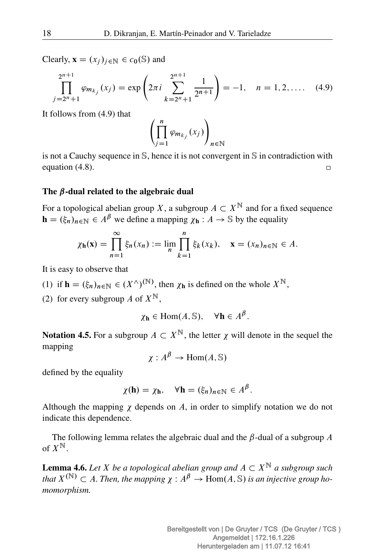Clearly,  $\mathbf{x} = (x_i)_{i \in \mathbb{N}} \in c_0(\mathbb{S})$  and

$$
\prod_{j=2^{n}+1}^{2^{n+1}} \varphi_{m_{k_j}}(x_j) = \exp\left(2\pi i \sum_{k=2^{n}+1}^{2^{n+1}} \frac{1}{2^{n+1}}\right) = -1, \quad n = 1, 2, .... \quad (4.9)
$$

It follows from (4.9) that

$$
\left(\prod_{j=1}^n \varphi_{m_{k_j}}(x_j)\right)_{n\in\mathbb{N}}
$$

is not a Cauchy sequence in S, hence it is not convergent in S in contradiction with equation (4.8).  $\Box$ 

### The  $\beta$ -dual related to the algebraic dual

For a topological abelian group X, a subgroup  $A \subset X^{\mathbb{N}}$  and for a fixed sequence  $\mathbf{h} = (\xi_n)_{n \in \mathbb{N}} \in A^{\beta}$  we define a mapping  $\chi_{\mathbf{h}} : A \to \mathbb{S}$  by the equality

$$
\chi_{\mathbf{h}}(\mathbf{x}) = \prod_{n=1}^{\infty} \xi_n(x_n) := \lim_{n} \prod_{k=1}^{n} \xi_k(x_k), \quad \mathbf{x} = (x_n)_{n \in \mathbb{N}} \in A.
$$

It is easy to observe that

- (1) if  $\mathbf{h} = (\xi_n)_{n \in \mathbb{N}} \in (X^{\wedge})^{(\mathbb{N})}$ , then  $\chi_{\mathbf{h}}$  is defined on the whole  $X^{\mathbb{N}}$ ,
- (2) for every subgroup A of  $X^{\mathbb{N}}$ .

$$
\chi_{\mathbf{h}} \in \text{Hom}(A, \mathbb{S}), \quad \forall \mathbf{h} \in A^{\beta}.
$$

**Notation 4.5.** For a subgroup  $A \subset X^{\mathbb{N}}$ , the letter  $\gamma$  will denote in the sequel the mapping

$$
\chi: A^{\beta} \to \text{Hom}(A, \mathbb{S})
$$

defined by the equality

$$
\chi(\mathbf{h}) = \chi_{\mathbf{h}}, \quad \forall \mathbf{h} = (\xi_n)_{n \in \mathbb{N}} \in A^{\beta}.
$$

Although the mapping  $\chi$  depends on A, in order to simplify notation we do not indicate this dependence.

The following lemma relates the algebraic dual and the  $\beta$ -dual of a subgroup A of  $X^{\mathbb{N}}$ .

**Lemma 4.6.** Let X be a topological abelian group and  $A \subset X^{\mathbb{N}}$  a subgroup such that  $X^{(\mathbb{N})}\subset A.$  Then, the mapping  $\chi:A^\beta\to\mathrm{Hom}(A,\mathbb{S})$  is an injective group ho*momorphism.*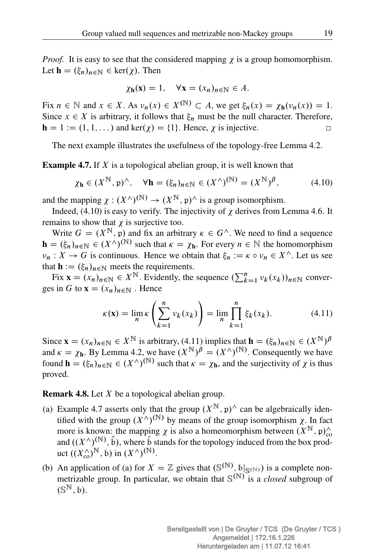*Proof.* It is easy to see that the considered mapping  $\chi$  is a group homomorphism. Let  $\mathbf{h} = (\xi_n)_{n \in \mathbb{N}} \in \text{ker}(\gamma)$ . Then

$$
\chi_{\mathbf{h}}(\mathbf{x}) = 1, \quad \forall \mathbf{x} = (x_n)_{n \in \mathbb{N}} \in A.
$$

Fix  $n \in \mathbb{N}$  and  $x \in X$ . As  $v_n(x) \in X^{(\mathbb{N})} \subset A$ , we get  $\xi_n(x) = \chi_{\mathbf{h}}(v_n(x)) = 1$ . Since  $x \in X$  is arbitrary, it follows that  $\xi_n$  must be the null character. Therefore,  $h = 1 := (1, 1, \dots)$  and ker $(\gamma) = \{1\}$ . Hence,  $\gamma$  is injective.

The next example illustrates the usefulness of the topology-free Lemma 4.2.

**Example 4.7.** If  $X$  is a topological abelian group, it is well known that

$$
\chi_{\mathbf{h}} \in (X^{\mathbb{N}}, \mathfrak{p})^{\wedge}, \quad \forall \mathbf{h} = (\xi_n)_{n \in \mathbb{N}} \in (X^{\wedge})^{(\mathbb{N})} = (X^{\mathbb{N}})^{\beta}, \tag{4.10}
$$

and the mapping  $\chi : (X^{\wedge})^{(\mathbb{N})} \to (X^{\mathbb{N}}, \mathfrak{p})^{\wedge}$  is a group isomorphism.

Indeed, (4.10) is easy to verify. The injectivity of  $\chi$  derives from Lemma 4.6. It remains to show that  $\chi$  is surjective too.

Write  $G = (X^{\mathbb{N}}, \mathfrak{p})$  and fix an arbitrary  $\kappa \in G^{\wedge}$ . We need to find a sequence  $\mathbf{h} = (\xi_n)_{n \in \mathbb{N}} \in (X^{\wedge})^{(\mathbb{N})}$  such that  $\kappa = \chi_{\mathbf{h}}$ . For every  $n \in \mathbb{N}$  the homomorphism  $\nu_n : X \to G$  is continuous. Hence we obtain that  $\xi_n := \kappa \circ \nu_n \in X^{\wedge}$ . Let us see that  $\mathbf{h} := (\xi_n)_{n \in \mathbb{N}}$  meets the requirements.

Fix  $\mathbf{x} = (x_n)_{n \in \mathbb{N}} \in X^{\mathbb{N}}$ . Evidently, the sequence  $(\sum_{k=1}^n v_k(x_k))_{n \in \mathbb{N}}$  converges in G to  $\mathbf{x} = (x_n)_{n \in \mathbb{N}}$ . Hence

$$
\kappa(\mathbf{x}) = \lim_{n} \kappa \left( \sum_{k=1}^{n} v_k(x_k) \right) = \lim_{n} \prod_{k=1}^{n} \xi_k(x_k).
$$
 (4.11)

Since  $\mathbf{x} = (x_n)_{n \in \mathbb{N}} \in X^{\mathbb{N}}$  is arbitrary, (4.11) implies that  $\mathbf{h} = (\xi_n)_{n \in \mathbb{N}} \in (X^{\mathbb{N}})^{\beta}$ and  $\kappa = \chi_{\mathbf{h}}$ . By Lemma 4.2, we have  $(X^{\mathbb{N}})^{\beta} = (X^{\wedge})^{(\mathbb{N})}$ . Consequently we have found  $\mathbf{h} = (\xi_n)_{n \in \mathbb{N}} \in (X^{\wedge})^{(\mathbb{N})}$  such that  $\kappa = \chi_{\mathbf{h}}$ , and the surjectivity of  $\chi$  is thus proved.

**Remark 4.8.** Let  $X$  be a topological abelian group.

- (a) Example 4.7 asserts only that the group  $(X^{\mathbb{N}}, \mathfrak{p})^{\wedge}$  can be algebraically identified with the group  $(X^{\wedge})^{(\mathbb{N})}$  by means of the group isomorphism  $\chi$ . In fact more is known: the mapping  $\chi$  is also a homeomorphism between  $(X^{\mathbb{N}}, \mathfrak{p})_{\text{cc}}^{\wedge}$ co and  $((X^{\wedge})^{\mathbb{N}})$ ,  $\hat{b}$ ), where  $\hat{b}$  stands for the topology induced from the box product  $((X_{\text{co}}^{\wedge})^{\mathbb{N}}, \mathfrak{b})$  in  $(X^{\wedge})^{(\mathbb{N})}$ .
- (b) An application of (a) for  $X = \mathbb{Z}$  gives that  $(S^{(N)}, B|_{S^{(N)}})$  is a complete nonmetrizable group. In particular, we obtain that  $\mathbb{S}^{(N)}$  is a *closed* subgroup of  $(\mathbb{S}^{\mathbb{N}}, \mathfrak{b}).$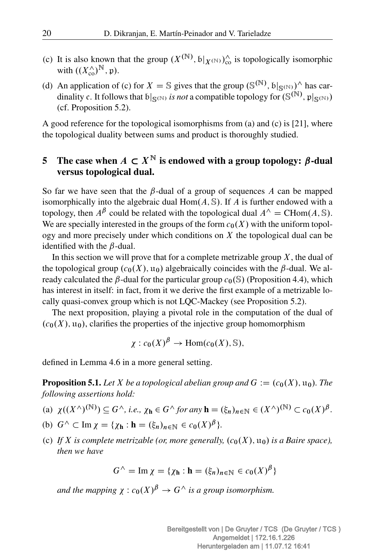- (c) It is also known that the group  $(X^{(N)}, b|_{X^{(N)}})_{\text{co}}^{\wedge}$  is topologically isomorphic with  $((X_{\text{co}}^{\wedge})^{\mathbb{N}}, \mathfrak{p}).$
- (d) An application of (c) for  $X = \mathbb{S}$  gives that the group  $(\mathbb{S}^{(N)}, \mathfrak{b}|_{\mathbb{S}^{(N)}})$  has cardinality c. It follows that  $\mathfrak{b}|_{\mathbb{S}^{(\mathbb{N})}}$  *is not* a compatible topology for  $(\mathbb{S}^{(\mathbb{N})}, \mathfrak{p}|_{\mathbb{S}^{(\mathbb{N})}})$ (cf. Proposition 5.2).

A good reference for the topological isomorphisms from (a) and (c) is [21], where the topological duality between sums and product is thoroughly studied.

## 5 The case when  $A \subset X^{\mathbb{N}}$  is endowed with a group topology:  $\beta$ -dual versus topological dual.

So far we have seen that the  $\beta$ -dual of a group of sequences A can be mapped isomorphically into the algebraic dual  $Hom(A, S)$ . If A is further endowed with a topology, then  $A^{\beta}$  could be related with the topological dual  $A^{\wedge} = \text{CHom}(A, \mathbb{S})$ . We are specially interested in the groups of the form  $c_0(X)$  with the uniform topology and more precisely under which conditions on  $X$  the topological dual can be identified with the  $\beta$ -dual.

In this section we will prove that for a complete metrizable group  $X$ , the dual of the topological group  $(c_0(X), u_0)$  algebraically coincides with the  $\beta$ -dual. We already calculated the  $\beta$ -dual for the particular group  $c_0(S)$  (Proposition 4.4), which has interest in itself: in fact, from it we derive the first example of a metrizable locally quasi-convex group which is not LQC-Mackey (see Proposition 5.2).

The next proposition, playing a pivotal role in the computation of the dual of  $(c_0(X), u_0)$ , clarifies the properties of the injective group homomorphism

$$
\chi : c_0(X)^{\beta} \to \text{Hom}(c_0(X), \mathbb{S}),
$$

defined in Lemma 4.6 in a more general setting.

**Proposition 5.1.** Let X be a topological abelian group and  $G := (c_0(X), u_0)$ . The *following assertions hold:*

- (a)  $\chi((X^{\wedge})^{(\mathbb{N})}) \subseteq G^{\wedge}$ , *i.e.*,  $\chi_{\mathbf{h}} \in G^{\wedge}$  *for any*  $\mathbf{h} = (\xi_n)_{n \in \mathbb{N}} \in (X^{\wedge})^{(\mathbb{N})} \subset c_0(X)^{\beta}$ .
- (b)  $G^{\wedge} \subset \text{Im } \chi = {\chi_h : h = (\xi_n)_{n \in \mathbb{N}} \in c_0(X)^\beta}.$
- (c) If X is complete metrizable (or, more generally,  $(c_0(X), u_0)$  is a Baire space), *then we have*

$$
G^{\wedge} = \text{Im } \chi = \{ \chi_{\mathbf{h}} : \mathbf{h} = (\xi_n)_{n \in \mathbb{N}} \in c_0(X)^{\beta} \}
$$

*and the mapping*  $\chi : c_0(X)^\beta \to G^\wedge$  *is a group isomorphism.*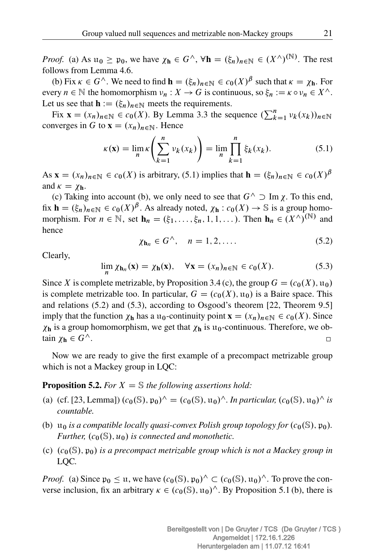*Proof.* (a) As  $u_0 \geq p_0$ , we have  $\chi_h \in G^{\wedge}$ ,  $\forall h = (\xi_n)_{n \in \mathbb{N}} \in (X^{\wedge})^{(\mathbb{N})}$ . The rest follows from Lemma 4.6.

(b) Fix  $\kappa \in G^{\wedge}$ . We need to find  $\mathbf{h} = (\xi_n)_{n \in \mathbb{N}} \in c_0(X)^{\beta}$  such that  $\kappa = \chi_{\mathbf{h}}$ . For every  $n \in \mathbb{N}$  the homomorphism  $v_n : X \to G$  is continuous, so  $\xi_n := \kappa \circ v_n \in X^{\wedge}$ . Let us see that  $h := (\xi_n)_{n \in \mathbb{N}}$  meets the requirements.

Fix  $\mathbf{x} = (x_n)_{n \in \mathbb{N}} \in c_0(X)$ . By Lemma 3.3 the sequence  $(\sum_{k=1}^n v_k(x_k))_{n \in \mathbb{N}}$ converges in G to  $\mathbf{x} = (x_n)_{n \in \mathbb{N}}$ . Hence

$$
\kappa(\mathbf{x}) = \lim_{n} \kappa \left( \sum_{k=1}^{n} \nu_k(x_k) \right) = \lim_{n} \prod_{k=1}^{n} \xi_k(x_k).
$$
 (5.1)

As  $\mathbf{x} = (x_n)_{n \in \mathbb{N}} \in c_0(X)$  is arbitrary, (5.1) implies that  $\mathbf{h} = (\xi_n)_{n \in \mathbb{N}} \in c_0(X)^\beta$ and  $\kappa = \chi_{\mathbf{h}}$ .

(c) Taking into account (b), we only need to see that  $G^{\wedge} \supset$  Im  $\chi$ . To this end, fix  $\mathbf{h} = (\xi_n)_{n \in \mathbb{N}} \in c_0(X)^\beta$ . As already noted,  $\chi_{\mathbf{h}} : c_0(X) \to \mathbb{S}$  is a group homomorphism. For  $n \in \mathbb{N}$ , set  $\mathbf{h}_n = (\xi_1, \ldots, \xi_n, 1, 1, \ldots)$ . Then  $\mathbf{h}_n \in (X^{\wedge})^{(\mathbb{N})}$  and hence

$$
\chi_{\mathbf{h}_n} \in G^{\wedge}, \quad n = 1, 2, \dots \tag{5.2}
$$

Clearly,

$$
\lim_{n} \chi_{\mathbf{h}_n}(\mathbf{x}) = \chi_{\mathbf{h}}(\mathbf{x}), \quad \forall \mathbf{x} = (x_n)_{n \in \mathbb{N}} \in c_0(X). \tag{5.3}
$$

Since X is complete metrizable, by Proposition 3.4 (c), the group  $G = (c_0(X), u_0)$ is complete metrizable too. In particular,  $G = (c_0(X), u_0)$  is a Baire space. This and relations (5.2) and (5.3), according to Osgood's theorem [22, Theorem 9.5] imply that the function  $\chi_h$  has a u<sub>0</sub>-continuity point  $\mathbf{x} = (x_n)_{n \in \mathbb{N}} \in c_0(X)$ . Since  $\chi_h$  is a group homomorphism, we get that  $\chi_h$  is u<sub>0</sub>-continuous. Therefore, we obtain  $\chi_{\mathbf{h}} \in G^{\wedge}$ .  $\Box$ 

Now we are ready to give the first example of a precompact metrizable group which is not a Mackey group in LQC:

### **Proposition 5.2.** *For*  $X = \mathbb{S}$  *the following assertions hold:*

- (a) (cf. [23, Lemma])  $(c_0(\mathbb{S}), \mathfrak{p}_0)^\wedge = (c_0(\mathbb{S}), \mathfrak{u}_0)^\wedge$ . *In particular,*  $(c_0(\mathbb{S}), \mathfrak{u}_0)^\wedge$  *is countable.*
- (b)  $u_0$  *is a compatible locally quasi-convex Polish group topology for*  $(c_0(\mathbb{S}), p_0)$ *. Further,*  $(c_0(\mathbb{S}), u_0)$  *is connected and monothetic.*
- (c)  $(c_0(\mathbb{S}), p_0)$  *is a precompact metrizable group which is not a Mackey group in* LQC*.*

*Proof.* (a) Since  $\mathfrak{p}_0 \leq \mathfrak{u}$ , we have  $(c_0(\mathbb{S}), \mathfrak{p}_0)^\wedge \subset (c_0(\mathbb{S}), \mathfrak{u}_0)^\wedge$ . To prove the converse inclusion, fix an arbitrary  $\kappa \in (c_0(\mathbb{S}), \mathfrak{u}_0)^\wedge$ . By Proposition 5.1 (b), there is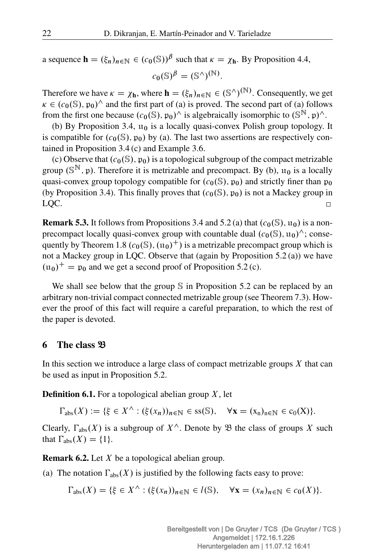a sequence  $\mathbf{h} = (\xi_n)_{n \in \mathbb{N}} \in (c_0(\mathbb{S}))^{\beta}$  such that  $\kappa = \chi_{\mathbf{h}}$ . By Proposition 4.4,

$$
c_0(\mathbb{S})^{\beta} = (\mathbb{S}^{\wedge})^{(\mathbb{N})}.
$$

Therefore we have  $\kappa = \chi_{\mathbf{h}}$ , where  $\mathbf{h} = (\xi_n)_{n \in \mathbb{N}} \in (\mathbb{S}^{\wedge})^{(\mathbb{N})}$ . Consequently, we get  $\kappa \in (c_0(\mathbb{S}), \mathfrak{p}_0)^\wedge$  and the first part of (a) is proved. The second part of (a) follows from the first one because  $(c_0(\mathbb{S}), \mathfrak{p}_0)^\wedge$  is algebraically isomorphic to  $(\mathbb{S}^{\mathbb{N}}, \mathfrak{p})^\wedge$ .

(b) By Proposition 3.4,  $u_0$  is a locally quasi-convex Polish group topology. It is compatible for  $(c_0(\mathbb{S}), \mathfrak{p}_0)$  by (a). The last two assertions are respectively contained in Proposition 3.4 (c) and Example 3.6.

(c) Observe that  $(c_0(\mathbb{S}), \mathfrak{p}_0)$  is a topological subgroup of the compact metrizable group ( $\mathbb{S}^{\mathbb{N}}$ , p). Therefore it is metrizable and precompact. By (b),  $\mathfrak{u}_0$  is a locally quasi-convex group topology compatible for  $(c_0(S), p_0)$  and strictly finer than  $p_0$ (by Proposition 3.4). This finally proves that  $(c_0(\mathbb{S}), \mathfrak{p}_0)$  is not a Mackey group in LOC.  $\Box$ 

**Remark 5.3.** It follows from Propositions 3.4 and 5.2 (a) that  $(c_0(\mathbb{S}), \mathfrak{u}_0)$  is a nonprecompact locally quasi-convex group with countable dual  $(c_0(\mathbb{S}), \mathfrak{u}_0)^\wedge$ ; consequently by Theorem 1.8  $(c_0(\mathbb{S}), (\mathfrak{u}_0)^+)$  is a metrizable precompact group which is not a Mackey group in LQC. Observe that (again by Proposition 5.2 (a)) we have  $(u_0)^+$  =  $p_0$  and we get a second proof of Proposition 5.2 (c).

We shall see below that the group  $S$  in Proposition 5.2 can be replaced by an arbitrary non-trivial compact connected metrizable group (see Theorem 7.3). However the proof of this fact will require a careful preparation, to which the rest of the paper is devoted.

## 6 The class B

In this section we introduce a large class of compact metrizable groups  $X$  that can be used as input in Proposition 5.2.

**Definition 6.1.** For a topological abelian group  $X$ , let

$$
\Gamma_{\text{abs}}(X) := \{ \xi \in X^\wedge : (\xi(x_n))_{n \in \mathbb{N}} \in \text{ss}(\mathbb{S}), \quad \forall \mathbf{x} = (x_n)_{n \in \mathbb{N}} \in \text{c}_0(X) \}.
$$

Clearly,  $\Gamma_{\text{abs}}(X)$  is a subgroup of  $X^{\wedge}$ . Denote by  $\mathfrak B$  the class of groups X such that  $\Gamma_{\text{abs}}(X) = \{1\}.$ 

**Remark 6.2.** Let  $X$  be a topological abelian group.

(a) The notation  $\Gamma_{\text{abs}}(X)$  is justified by the following facts easy to prove:

 $\Gamma_{\text{abs}}(X) = \{ \xi \in X^\wedge : (\xi(x_n))_{n \in \mathbb{N}} \in l(\mathbb{S}), \quad \forall \mathbf{x} = (x_n)_{n \in \mathbb{N}} \in c_0(X) \}.$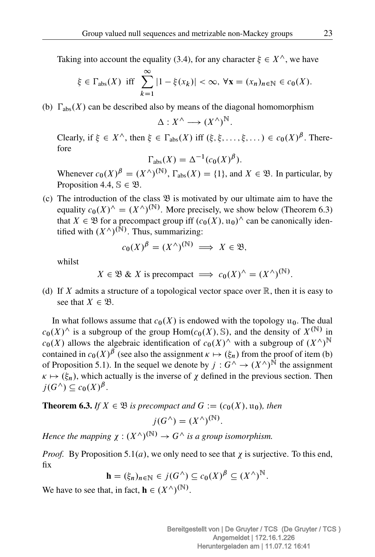Taking into account the equality (3.4), for any character  $\xi \in X^{\wedge}$ , we have

$$
\xi \in \Gamma_{\text{abs}}(X) \text{ iff } \sum_{k=1}^{\infty} |1 - \xi(x_k)| < \infty, \ \forall \mathbf{x} = (x_n)_{n \in \mathbb{N}} \in c_0(X).
$$

(b)  $\Gamma_{abc}(X)$  can be described also by means of the diagonal homomorphism

$$
\Delta: X^{\wedge} \longrightarrow (X^{\wedge})^{\mathbb{N}}.
$$

Clearly, if  $\xi \in X^{\wedge}$ , then  $\xi \in \Gamma_{\text{abs}}(X)$  iff  $(\xi, \xi, \dots, \xi, \dots) \in c_0(X)^{\beta}$ . Therefore

$$
\Gamma_{\text{abs}}(X) = \Delta^{-1} (c_0(X)^{\beta}).
$$

Whenever  $c_0(X)^\beta = (X^\wedge)^{(\mathbb{N})}$ ,  $\Gamma_{\text{abs}}(X) = \{1\}$ , and  $X \in \mathfrak{B}$ . In particular, by Proposition 4.4,  $\mathbb{S} \in \mathfrak{B}$ .

(c) The introduction of the class  $\mathfrak{B}$  is motivated by our ultimate aim to have the equality  $c_0(X)^\wedge = (X^\wedge)^{(\mathbb{N})}$ . More precisely, we show below (Theorem 6.3) that  $X \in \mathfrak{B}$  for a precompact group iff  $(c_0(X), u_0)^\wedge$  can be canonically identified with  $(X^{\wedge})^{(\mathbb{\tilde{N}})}$ . Thus, summarizing:

$$
c_0(X)^{\beta} = (X^{\wedge})^{(\mathbb{N})} \implies X \in \mathfrak{B},
$$

whilst

 $X \in \mathfrak{B}$  & X is precompact  $\implies c_0(X)^\wedge = (X^\wedge)^{(\mathbb{N})}.$ 

(d) If X admits a structure of a topological vector space over  $\mathbb{R}$ , then it is easy to see that  $X \in \mathfrak{B}$ .

In what follows assume that  $c_0(X)$  is endowed with the topology  $u_0$ . The dual  $c_0(X)^\wedge$  is a subgroup of the group  $\text{Hom}(c_0(X), \mathbb{S})$ , and the density of  $X^{(\mathbb{N})}$  in  $c_0(X)$  allows the algebraic identification of  $c_0(X)^\wedge$  with a subgroup of  $(X^\wedge)^{\mathbb{N}}$ contained in  $c_0(X)^\beta$  (see also the assignment  $\kappa \mapsto (\xi_n)$  from the proof of item (b) of Proposition 5.1). In the sequel we denote by  $j: G^{\wedge} \to (X^{\wedge})^{\tilde{N}}$  the assignment  $\kappa \mapsto (\xi_n)$ , which actually is the inverse of  $\gamma$  defined in the previous section. Then  $j(G^{\wedge}) \subseteq c_0(X)^{\beta}.$ 

**Theorem 6.3.** *If*  $X \in \mathcal{B}$  *is precompact and*  $G := (c_0(X), \mathfrak{u}_0)$ *, then* 

$$
j(G^{\wedge})=(X^{\wedge})^{(\mathbb{N})}.
$$

*Hence the mapping*  $\chi : (X^{\wedge})^{(\mathbb{N})} \to G^{\wedge}$  *is a group isomorphism.* 

*Proof.* By Proposition 5.1(*a*), we only need to see that  $\gamma$  is surjective. To this end, fix

$$
\mathbf{h} = (\xi_n)_{n \in \mathbb{N}} \in j(G^\wedge) \subseteq c_0(X)^\beta \subseteq (X^\wedge)^{\mathbb{N}}.
$$

We have to see that, in fact,  $\mathbf{h} \in (X^{\wedge})^{(\mathbb{N})}$ .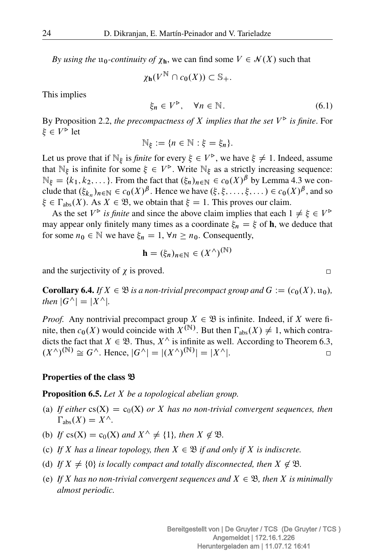*By using the*  $u_0$ -*continuity of*  $\chi_h$ , we can find some  $V \in \mathcal{N}(X)$  such that

 $\chi_{\mathbf{h}}(V^{\mathbb{N}} \cap c_{\mathbf{0}}(X)) \subset \mathbb{S}_{+}.$ 

This implies

$$
\xi_n \in V^{\triangleright}, \quad \forall n \in \mathbb{N}.\tag{6.1}
$$

By Proposition 2.2, the precompactness of  $X$  implies that the set  $V^{\triangleright}$  is finite. For  $\xi \in V^{\triangleright}$  let

$$
\mathbb{N}_{\xi} := \{ n \in \mathbb{N} : \xi = \xi_n \}.
$$

Let us prove that if  $\mathbb{N}_{\xi}$  is *finite* for every  $\xi \in V^{\triangleright}$ , we have  $\xi \neq 1$ . Indeed, assume that  $\mathbb{N}_{\xi}$  is infinite for some  $\xi \in V^{\triangleright}$ . Write  $\mathbb{N}_{\xi}$  as a strictly increasing sequence:  $\mathbb{N}_{\epsilon} = \{k_1, k_2, \dots\}$ . From the fact that  $(\xi_n)_{n \in \mathbb{N}} \in c_0(X)^{\beta}$  by Lemma 4.3 we conclude that  $(\xi_{k_n})_{n \in \mathbb{N}} \in c_0(X)^{\beta}$ . Hence we have  $(\xi, \xi, \dots, \xi, \dots) \in c_0(X)^{\beta}$ , and so  $\xi \in \Gamma_{\text{abs}}(X)$ . As  $X \in \mathfrak{B}$ , we obtain that  $\xi = 1$ . This proves our claim.

As the set  $V^{\triangleright}$  is finite and since the above claim implies that each  $1 \neq \xi \in V^{\triangleright}$ may appear only finitely many times as a coordinate  $\xi_n = \xi$  of h, we deduce that for some  $n_0 \in \mathbb{N}$  we have  $\xi_n = 1, \forall n \ge n_0$ . Consequently,

$$
\mathbf{h} = (\xi_n)_{n \in \mathbb{N}} \in (X^\wedge)^{(\mathbb{N})}
$$

and the surjectivity of  $\chi$  is proved.

**Corollary 6.4.** *If*  $X \in \mathcal{B}$  *is a non-trivial precompact group and*  $G := (c_0(X), u_0)$ *, then*  $|G^{\wedge}| = |X^{\wedge}|$ *.* 

*Proof.* Any nontrivial precompact group  $X \in \mathcal{B}$  is infinite. Indeed, if X were finite, then  $c_0(X)$  would coincide with  $X^{(\mathbb{N})}$ . But then  $\Gamma_{\text{abs}}(X) \neq 1$ , which contradicts the fact that  $X \in \mathfrak{B}$ . Thus,  $X^{\wedge}$  is infinite as well. According to Theorem 6.3,  $(X^{\wedge})^{(\mathbb{N})} \cong G^{\wedge}$ . Hence,  $|G^{\wedge}| = |(X^{\wedge})^{(\mathbb{N})}| = |X^{\wedge}|$ .  $\Box$ 

### Properties of the class B

Proposition 6.5. *Let* X *be a topological abelian group.*

- (a) If either  $cs(X) = c_0(X)$  *or* X has no non-trivial convergent sequences, then  $\Gamma_{\text{abs}}(X) = X^{\wedge}$ .
- (b) If  $cs(X) = c_0(X)$  and  $X^{\wedge} \neq \{1\}$ *, then*  $X \notin \mathfrak{B}$ *.*
- (c) If X has a linear topology, then  $X \in \mathfrak{B}$  if and only if X is indiscrete.
- (d) If  $X \neq \{0\}$  is locally compact and totally disconnected, then  $X \not\in \mathfrak{B}$ .
- (e) If X has no non-trivial convergent sequences and  $X \in \mathcal{B}$ , then X is minimally *almost periodic.*

 $\Box$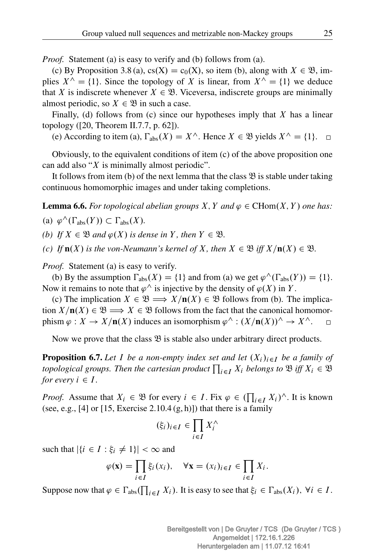*Proof.* Statement (a) is easy to verify and (b) follows from (a).

(c) By Proposition 3.8 (a),  $cs(X) = c_0(X)$ , so item (b), along with  $X \in \mathfrak{B}$ , implies  $X^{\wedge} = \{1\}$ . Since the topology of X is linear, from  $X^{\wedge} = \{1\}$  we deduce that X is indiscrete whenever  $X \in \mathcal{B}$ . Viceversa, indiscrete groups are minimally almost periodic, so  $X \in \mathfrak{B}$  in such a case.

Finally, (d) follows from (c) since our hypotheses imply that  $X$  has a linear topology ([20, Theorem II.7.7, p. 62]).

(e) According to item (a),  $\Gamma_{\text{abs}}(X) = X^{\wedge}$ . Hence  $X \in \mathfrak{B}$  yields  $X^{\wedge} = \{1\}$ .  $\Box$ 

Obviously, to the equivalent conditions of item (c) of the above proposition one can add also " $X$  is minimally almost periodic".

It follows from item (b) of the next lemma that the class  $\mathfrak B$  is stable under taking continuous homomorphic images and under taking completions.

**Lemma 6.6.** For topological abelian groups X, Y and  $\varphi \in \text{CHom}(X, Y)$  one has:

(a)  $\varphi^{\wedge}(\Gamma_{\text{abs}}(Y)) \subset \Gamma_{\text{abs}}(X)$ *.* 

*(b) If*  $X \in \mathcal{B}$  *and*  $\varphi(X)$  *is dense in* Y, *then*  $Y \in \mathcal{B}$ *.* 

*(c) If*  $\mathbf{n}(X)$  *is the von-Neumann's kernel of* X, *then*  $X \in \mathcal{B}$  *iff*  $X/\mathbf{n}(X) \in \mathcal{B}$ *.* 

*Proof.* Statement (a) is easy to verify.

(b) By the assumption  $\Gamma_{\text{abs}}(X) = \{1\}$  and from (a) we get  $\varphi^{\wedge}(\Gamma_{\text{abs}}(Y)) = \{1\}.$ Now it remains to note that  $\varphi^{\wedge}$  is injective by the density of  $\varphi(X)$  in Y.

(c) The implication  $X \in \mathfrak{B} \Longrightarrow X/\mathbf{n}(X) \in \mathfrak{B}$  follows from (b). The implication  $X/\mathbf{n}(X) \in \mathfrak{B} \Longrightarrow X \in \mathfrak{B}$  follows from the fact that the canonical homomorphism  $\varphi: X \to X/\mathbf{n}(X)$  induces an isomorphism  $\varphi^{\wedge} : (X/\mathbf{n}(X))^{\wedge} \to X^{\wedge}$ .  $\Box$ 

Now we prove that the class  $\mathfrak{B}$  is stable also under arbitrary direct products.

**Proposition 6.7.** Let I be a non-empty index set and let  $(X_i)_{i\in I}$  be a family of *topological groups. Then the cartesian product*  $\prod_{i \in I} X_i$  *belongs to*  $\mathfrak{B}$  *iff*  $X_i \in \mathfrak{B}$ *for every*  $i \in I$ .

*Proof.* Assume that  $X_i \in \mathcal{B}$  for every  $i \in I$ . Fix  $\varphi \in \left(\prod_{i \in I} X_i\right)^\wedge$ . It is known (see, e.g., [4] or [15, Exercise  $2.10.4(g, h)$ ]) that there is a family

$$
(\xi_i)_{i\in I}\in\prod_{i\in I}X_i^\wedge
$$

such that  $|\{i \in I : \xi_i \neq 1\}| < \infty$  and

$$
\varphi(\mathbf{x}) = \prod_{i \in I} \xi_i(x_i), \quad \forall \mathbf{x} = (x_i)_{i \in I} \in \prod_{i \in I} X_i.
$$

Suppose now that  $\varphi \in \Gamma_{\text{abs}}(\prod_{i \in I} X_i)$ . It is easy to see that  $\xi_i \in \Gamma_{\text{abs}}(X_i)$ ,  $\forall i \in I$ .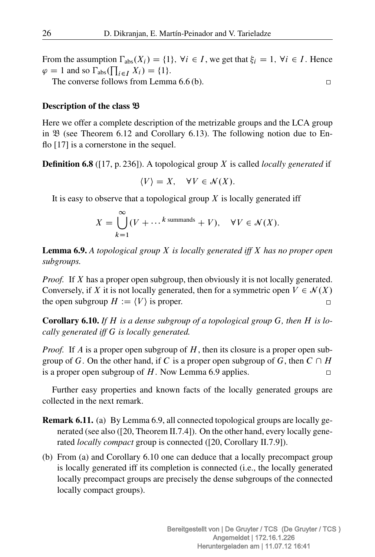From the assumption  $\Gamma_{\text{abs}}(X_i) = \{1\}$ ,  $\forall i \in I$ , we get that  $\xi_i = 1$ ,  $\forall i \in I$ . Hence  $\varphi = 1$  and so  $\Gamma_{\text{abs}}(\prod_{i \in I} X_i) = \{1\}.$ 

The converse follows from Lemma 6.6 (b).

### $\Box$

### Description of the class  $\mathfrak B$

Here we offer a complete description of the metrizable groups and the LCA group in  $\mathfrak B$  (see Theorem 6.12 and Corollary 6.13). The following notion due to Enflo [17] is a cornerstone in the sequel.

Definition 6.8 ([17, p. 236]). A topological group X is called *locally generated* if

 $\langle V \rangle = X$ ,  $\forall V \in \mathcal{N}(X)$ .

It is easy to observe that a topological group  $X$  is locally generated iff

$$
X = \bigcup_{k=1}^{\infty} (V + \cdots^{k \text{ summands}} + V), \quad \forall V \in \mathcal{N}(X).
$$

Lemma 6.9. *A topological group* X *is locally generated iff* X *has no proper open subgroups.*

*Proof.* If X has a proper open subgroup, then obviously it is not locally generated. Conversely, if X it is not locally generated, then for a symmetric open  $V \in \mathcal{N}(X)$ the open subgroup  $H := \langle V \rangle$  is proper.  $\Box$ 

Corollary 6.10. *If* H *is a dense subgroup of a topological group* G*, then* H *is locally generated iff* G *is locally generated.*

*Proof.* If A is a proper open subgroup of H, then its closure is a proper open subgroup of G. On the other hand, if C is a proper open subgroup of G, then  $C \cap H$ is a proper open subgroup of  $H$ . Now Lemma 6.9 applies.  $\Box$ 

Further easy properties and known facts of the locally generated groups are collected in the next remark.

- Remark 6.11. (a) By Lemma 6.9, all connected topological groups are locally generated (see also ([20, Theorem II.7.4]). On the other hand, every locally generated *locally compact* group is connected ([20, Corollary II.7.9]).
- (b) From (a) and Corollary 6.10 one can deduce that a locally precompact group is locally generated iff its completion is connected (i.e., the locally generated locally precompact groups are precisely the dense subgroups of the connected locally compact groups).

Angemeldet | 172.16.1.226 Heruntergeladen am | 11.07.12 16:41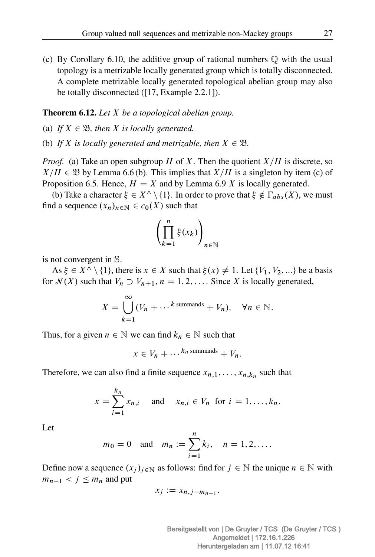(c) By Corollary 6.10, the additive group of rational numbers Q with the usual topology is a metrizable locally generated group which is totally disconnected. A complete metrizable locally generated topological abelian group may also be totally disconnected ([17, Example 2.2.1]).

Theorem 6.12. *Let* X *be a topological abelian group.*

- (a) If  $X \in \mathfrak{B}$ , then X is locally generated.
- (b) If X is locally generated and metrizable, then  $X \in \mathfrak{B}$ .

*Proof.* (a) Take an open subgroup H of X. Then the quotient  $X/H$  is discrete, so  $X/H \in \mathfrak{B}$  by Lemma 6.6 (b). This implies that  $X/H$  is a singleton by item (c) of Proposition 6.5. Hence,  $H = X$  and by Lemma 6.9 X is locally generated.

(b) Take a character  $\xi \in X^{\wedge} \setminus \{1\}$ . In order to prove that  $\xi \notin \Gamma_{abs}(X)$ , we must find a sequence  $(x_n)_{n \in \mathbb{N}} \in c_0(X)$  such that

$$
\left(\prod_{k=1}^n \xi(x_k)\right)_{n\in\mathbb{N}}
$$

is not convergent in S.

As  $\xi \in X^{\wedge} \setminus \{1\}$ , there is  $x \in X$  such that  $\xi(x) \neq 1$ . Let  $\{V_1, V_2, ...\}$  be a basis for  $\mathcal{N}(X)$  such that  $V_n \supset V_{n+1}$ ,  $n = 1, 2, \ldots$ . Since X is locally generated,

$$
X = \bigcup_{k=1}^{\infty} (V_n + \dots^k \text{ summands } + V_n), \quad \forall n \in \mathbb{N}.
$$

Thus, for a given  $n \in \mathbb{N}$  we can find  $k_n \in \mathbb{N}$  such that

$$
x \in V_n + \dots^{k_n \text{ summands}} + V_n.
$$

Therefore, we can also find a finite sequence  $x_{n,1}, \ldots, x_{n,k_n}$  such that

$$
x = \sum_{i=1}^{k_n} x_{n,i} \quad \text{and} \quad x_{n,i} \in V_n \text{ for } i = 1,\ldots,k_n.
$$

Let

$$
m_0 = 0
$$
 and  $m_n := \sum_{i=1}^n k_i$ ,  $n = 1, 2, ....$ 

Define now a sequence  $(x_i)_{i\in\mathbb{N}}$  as follows: find for  $j \in \mathbb{N}$  the unique  $n \in \mathbb{N}$  with  $m_{n-1} < j \leq m_n$  and put

$$
x_j := x_{n,j-m_{n-1}}.
$$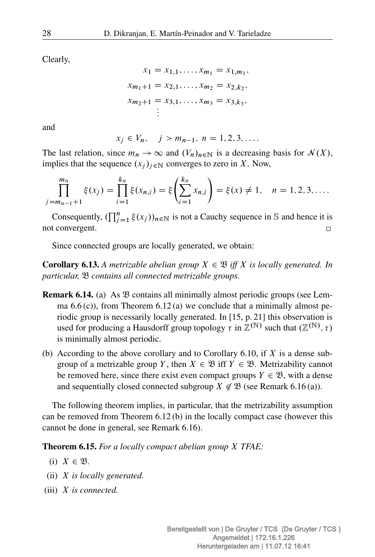Clearly,

$$
x_1 = x_{1,1}, \dots, x_{m_1} = x_{1,m_1},
$$
  
\n
$$
x_{m_1+1} = x_{2,1}, \dots, x_{m_2} = x_{2,k_2},
$$
  
\n
$$
x_{m_2+1} = x_{3,1}, \dots, x_{m_3} = x_{3,k_3},
$$
  
\n
$$
\vdots
$$

and

$$
x_j \in V_n
$$
,  $j > m_{n-1}$ ,  $n = 1, 2, 3, ...$ 

The last relation, since  $m_n \to \infty$  and  $(V_n)_{n \in \mathbb{N}}$  is a decreasing basis for  $\mathcal{N}(X)$ , implies that the sequence  $(x_i)_{i\in\mathbb{N}}$  converges to zero in X. Now,

$$
\prod_{j=m_{n-1}+1}^{m_n} \xi(x_j) = \prod_{i=1}^{k_n} \xi(x_{n,i}) = \xi \left(\sum_{i=1}^{k_n} x_{n,i}\right) = \xi(x) \neq 1, \quad n = 1, 2, 3, ....
$$

Consequently,  $(\prod_{j=1}^n \xi(x_j))_{n \in \mathbb{N}}$  is not a Cauchy sequence in S and hence it is not convergent.  $\Box$ 

Since connected groups are locally generated, we obtain:

**Corollary 6.13.** A metrizable abelian group  $X \in \mathcal{B}$  iff X is locally generated. In *particular,* B *contains all connected metrizable groups.*

- **Remark 6.14.** (a) As  $\mathcal{B}$  contains all minimally almost periodic groups (see Lemma  $6.6$  (c)), from Theorem  $6.12$  (a) we conclude that a minimally almost periodic group is necessarily locally generated. In [15, p. 21] this observation is used for producing a Hausdorff group topology  $\tau$  in  $\mathbb{Z}^{(\mathbb{N})}$  such that  $(\mathbb{Z}^{(\mathbb{N})}, \tau)$ is minimally almost periodic.
- (b) According to the above corollary and to Corollary 6.10, if  $X$  is a dense subgroup of a metrizable group Y, then  $X \in \mathcal{B}$  iff  $Y \in \mathcal{B}$ . Metrizability cannot be removed here, since there exist even compact groups  $Y \in \mathcal{B}$ , with a dense and sequentially closed connected subgroup  $X \notin \mathfrak{B}$  (see Remark 6.16(a)).

The following theorem implies, in particular, that the metrizability assumption can be removed from Theorem 6.12 (b) in the locally compact case (however this cannot be done in general, see Remark 6.16).

Theorem 6.15. *For a locally compact abelian group* X *TFAE:*

- $(i)$   $X \in \mathfrak{B}$ *.*
- (ii) X *is locally generated.*
- (iii) X *is connected.*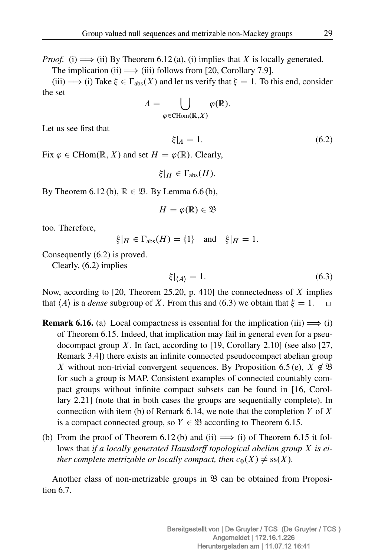*Proof.* (i)  $\implies$  (ii) By Theorem 6.12(a), (i) implies that X is locally generated.

The implication (ii)  $\implies$  (iii) follows from [20, Corollary 7.9].

(iii)  $\implies$  (i) Take  $\xi \in \Gamma_{\text{abs}}(X)$  and let us verify that  $\xi = 1$ . To this end, consider the set

$$
A = \bigcup_{\varphi \in \mathrm{CHom}(\mathbb{R}, X)} \varphi(\mathbb{R}).
$$

Let us see first that

$$
\xi|_A = 1. \tag{6.2}
$$

Fix  $\varphi \in \text{CHom}(\mathbb{R}, X)$  and set  $H = \varphi(\mathbb{R})$ . Clearly,

$$
\xi|_H \in \Gamma_{\text{abs}}(H).
$$

By Theorem 6.12 (b),  $\mathbb{R} \in \mathfrak{B}$ . By Lemma 6.6 (b),

$$
H = \varphi(\mathbb{R}) \in \mathfrak{B}
$$

too. Therefore,

 $\vert \xi \vert_H \in \Gamma_{\text{abs}}(H) = \{1\}$  and  $\vert \xi \vert_H = 1$ .

Consequently (6.2) is proved.

Clearly, (6.2) implies

$$
\xi|_{\langle A \rangle} = 1. \tag{6.3}
$$

Now, according to [20, Theorem 25.20, p. 410] the connectedness of X implies that  $\langle A \rangle$  is a *dense* subgroup of X. From this and (6.3) we obtain that  $\xi = 1$ .  $\Box$ 

- **Remark 6.16.** (a) Local compactness is essential for the implication (iii)  $\implies$  (i) of Theorem 6.15. Indeed, that implication may fail in general even for a pseudocompact group X. In fact, according to [19, Corollary 2.10] (see also [27, Remark 3.4]) there exists an infinite connected pseudocompact abelian group X without non-trivial convergent sequences. By Proposition 6.5 (e),  $X \notin \mathfrak{B}$ for such a group is MAP. Consistent examples of connected countably compact groups without infinite compact subsets can be found in [16, Corollary 2.21] (note that in both cases the groups are sequentially complete). In connection with item (b) of Remark 6.14, we note that the completion Y of X is a compact connected group, so  $Y \in \mathcal{B}$  according to Theorem 6.15.
- (b) From the proof of Theorem 6.12 (b) and (ii)  $\implies$  (i) of Theorem 6.15 it follows that *if a locally generated Hausdorff topological abelian group* X *is either complete metrizable or locally compact, then*  $c_0(X) \neq ss(X)$ *.*

Another class of non-metrizable groups in  $\mathfrak B$  can be obtained from Proposition 6.7.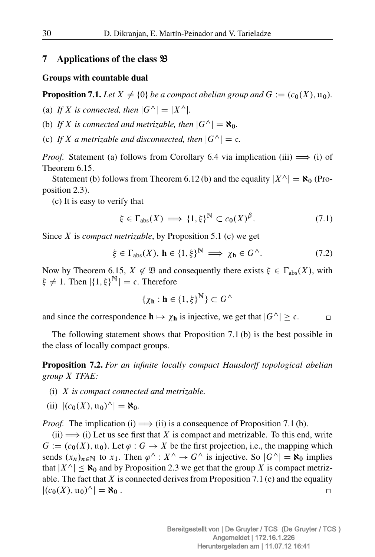## 7 Applications of the class B

### Groups with countable dual

**Proposition 7.1.** Let  $X \neq \{0\}$  be a compact abelian group and  $G := (c_0(X), u_0)$ .

- (a) If X is connected, then  $|G^{\wedge}| = |X^{\wedge}|$ .
- (b) If X is connected and metrizable, then  $|G^{\wedge}| = \aleph_0$ .
- (c) If X a metrizable and disconnected, then  $|G^{\wedge}| = c$ .

*Proof.* Statement (a) follows from Corollary 6.4 via implication (iii)  $\implies$  (i) of Theorem 6.15.

Statement (b) follows from Theorem 6.12 (b) and the equality  $|X^{\wedge}| = \aleph_0$  (Proposition 2.3).

(c) It is easy to verify that

$$
\xi \in \Gamma_{\text{abs}}(X) \implies \{1, \xi\}^{\mathbb{N}} \subset c_0(X)^{\beta}.
$$
 (7.1)

Since X is *compact metrizable*, by Proposition 5.1 (c) we get

$$
\xi \in \Gamma_{\text{abs}}(X), \, \mathbf{h} \in \{1, \xi\}^{\mathbb{N}} \implies \chi_{\mathbf{h}} \in G^{\wedge}.
$$

Now by Theorem 6.15,  $X \notin \mathfrak{B}$  and consequently there exists  $\xi \in \Gamma_{\text{abs}}(X)$ , with  $\xi \neq 1$ . Then  $|\{1, \xi\}^{\mathbb{N}}| = c$ . Therefore

$$
\{\chi_{\mathbf{h}} : \mathbf{h} \in \{1, \xi\}^{\mathbb{N}}\} \subset G^{\wedge}
$$

and since the correspondence  $h \mapsto \chi_h$  is injective, we get that  $|G^{\wedge}| \ge c$ .  $\Box$ 

The following statement shows that Proposition 7.1 (b) is the best possible in the class of locally compact groups.

Proposition 7.2. *For an infinite locally compact Hausdorff topological abelian group* X *TFAE:*

- (i) X *is compact connected and metrizable.*
- (ii)  $|(c_0(X), \mathfrak{u}_0)^\wedge| = \aleph_0.$

*Proof.* The implication (i)  $\Longrightarrow$  (ii) is a consequence of Proposition 7.1 (b).

 $(i) \implies (i)$  Let us see first that X is compact and metrizable. To this end, write  $G := (c_0(X), u_0)$ . Let  $\varphi : G \to X$  be the first projection, i.e., the mapping which sends  $(x_n)_{n \in \mathbb{N}}$  to  $x_1$ . Then  $\varphi^{\wedge} : X^{\wedge} \to G^{\wedge}$  is injective. So  $|G^{\wedge}| = \aleph_0$  implies that  $|X^{\wedge}| \le \aleph_0$  and by Proposition 2.3 we get that the group X is compact metrizable. The fact that X is connected derives from Proposition 7.1 (c) and the equality  $|(c_0(X), \mathfrak{u}_0)^{\wedge}| = \aleph_0$ .  $\Box$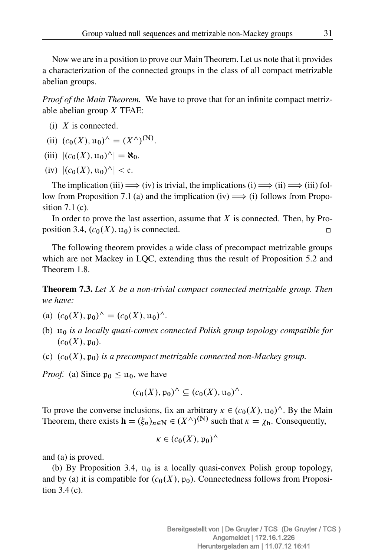Now we are in a position to prove our Main Theorem. Let us note that it provides a characterization of the connected groups in the class of all compact metrizable abelian groups.

*Proof of the Main Theorem.* We have to prove that for an infinite compact metrizable abelian group  $X$  TFAE:

- $(i)$  X is connected.
- (ii)  $(c_0(X), \mathfrak{u}_0)^\wedge = (X^\wedge)^{(\mathbb{N})}.$
- (iii)  $|(c_0(X), \mathfrak{u}_0)^\wedge| = \aleph_0.$
- (iv)  $|(c_0(X), \mathfrak{u}_0)^{\wedge}| < c.$

The implication (iii)  $\implies$  (iv) is trivial, the implications (i)  $\implies$  (ii)  $\implies$  (iii) follow from Proposition 7.1 (a) and the implication (iv)  $\Longrightarrow$  (i) follows from Proposition 7.1 (c).

In order to prove the last assertion, assume that  $X$  is connected. Then, by Proposition 3.4,  $(c_0(X), u_0)$  is connected.  $\Box$ 

The following theorem provides a wide class of precompact metrizable groups which are not Mackey in LQC, extending thus the result of Proposition 5.2 and Theorem 1.8.

Theorem 7.3. *Let* X *be a non-trivial compact connected metrizable group. Then we have:*

- (a)  $(c_0(X), \mathfrak{p}_0)^\wedge = (c_0(X), \mathfrak{u}_0)^\wedge$ .
- (b) u<sup>0</sup> *is a locally quasi-convex connected Polish group topology compatible for*  $(c_0(X), p_0)$ .
- (c)  $(c_0(X), p_0)$  *is a precompact metrizable connected non-Mackey group.*

*Proof.* (a) Since  $p_0 < u_0$ , we have

$$
(c_0(X), \mathfrak{p}_0)^{\wedge} \subseteq (c_0(X), \mathfrak{u}_0)^{\wedge}.
$$

To prove the converse inclusions, fix an arbitrary  $\kappa \in (c_0(X), \mathfrak{u}_0)^\wedge$ . By the Main Theorem, there exists  $\mathbf{h} = (\xi_n)_{n \in \mathbb{N}} \in (X^{\wedge})^{(\mathbb{N})}$  such that  $\kappa = \chi_{\mathbf{h}}$ . Consequently,

$$
\kappa \in (c_0(X), \mathfrak{p}_0)^{\wedge}
$$

and (a) is proved.

(b) By Proposition 3.4,  $u_0$  is a locally quasi-convex Polish group topology, and by (a) it is compatible for  $(c_0(X), p_0)$ . Connectedness follows from Proposition 3.4 (c).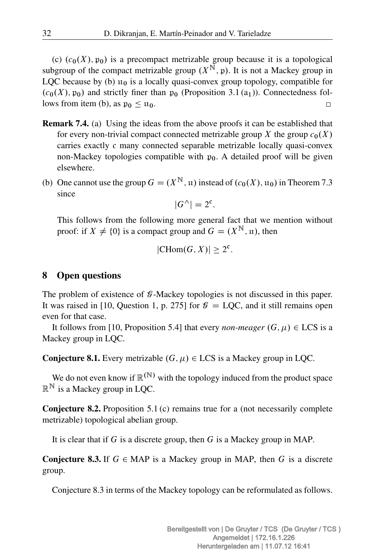(c)  $(c_0(X), p_0)$  is a precompact metrizable group because it is a topological subgroup of the compact metrizable group  $(X^{\mathbb{N}}, \mathfrak{p})$ . It is not a Mackey group in LQC because by (b)  $u_0$  is a locally quasi-convex group topology, compatible for  $(c_0(X), p_0)$  and strictly finer than  $p_0$  (Proposition 3.1 (a<sub>1</sub>)). Connectedness follows from item (b), as  $p_0 \n\leq u_0$ .  $\Box$ 

- Remark 7.4. (a) Using the ideas from the above proofs it can be established that for every non-trivial compact connected metrizable group X the group  $c_0(X)$ carries exactly c many connected separable metrizable locally quasi-convex non-Mackey topologies compatible with  $p_0$ . A detailed proof will be given elsewhere.
- (b) One cannot use the group  $G = (X^{\mathbb{N}}, u)$  instead of  $(c_0(X), u_0)$  in Theorem 7.3 since

$$
|G^{\wedge}| = 2^{\mathfrak{c}}.
$$

This follows from the following more general fact that we mention without proof: if  $X \neq \{0\}$  is a compact group and  $G = (X^{\mathbb{N}}, u)$ , then

$$
|CHom(G, X)| \ge 2^c.
$$

## 8 Open questions

The problem of existence of  $\mathcal{G}-M$  ackey topologies is not discussed in this paper. It was raised in [10, Question 1, p. 275] for  $\mathcal{G} = \text{LOC}$ , and it still remains open even for that case.

It follows from [10, Proposition 5.4] that every *non-meager*  $(G, \mu) \in \text{LCS}$  is a Mackey group in LQC.

**Conjecture 8.1.** Every metrizable  $(G, \mu) \in \text{LCS}$  is a Mackey group in LQC.

We do not even know if  $\mathbb{R}^{(\mathbb{N})}$  with the topology induced from the product space  $\mathbb{R}^{\mathbb{N}}$  is a Mackey group in LQC.

Conjecture 8.2. Proposition 5.1 (c) remains true for a (not necessarily complete metrizable) topological abelian group.

It is clear that if  $G$  is a discrete group, then  $G$  is a Mackey group in MAP.

**Conjecture 8.3.** If  $G \in \text{MAP}$  is a Mackey group in MAP, then G is a discrete group.

Conjecture 8.3 in terms of the Mackey topology can be reformulated as follows.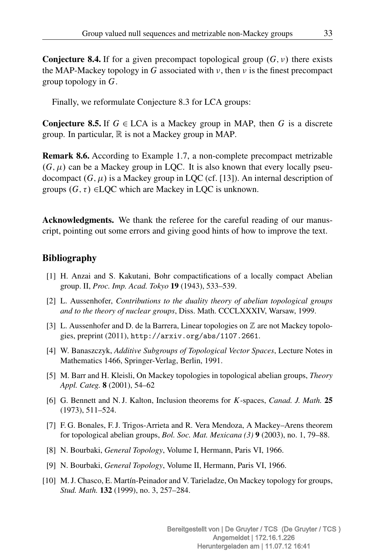**Conjecture 8.4.** If for a given precompact topological group  $(G, \nu)$  there exists the MAP-Mackey topology in G associated with  $\nu$ , then  $\nu$  is the finest precompact group topology in G.

Finally, we reformulate Conjecture 8.3 for LCA groups:

**Conjecture 8.5.** If  $G \in LCA$  is a Mackey group in MAP, then G is a discrete group. In particular,  $\mathbb R$  is not a Mackey group in MAP.

Remark 8.6. According to Example 1.7, a non-complete precompact metrizable  $(G, \mu)$  can be a Mackey group in LQC. It is also known that every locally pseudocompact  $(G, \mu)$  is a Mackey group in LQC (cf. [13]). An internal description of groups  $(G, \tau) \in LOC$  which are Mackey in LOC is unknown.

Acknowledgments. We thank the referee for the careful reading of our manuscript, pointing out some errors and giving good hints of how to improve the text.

### Bibliography

- [1] H. Anzai and S. Kakutani, Bohr compactifications of a locally compact Abelian group. II, *Proc. Imp. Acad. Tokyo* 19 (1943), 533–539.
- [2] L. Aussenhofer, *Contributions to the duality theory of abelian topological groups and to the theory of nuclear groups*, Diss. Math. CCCLXXXIV, Warsaw, 1999.
- [3] L. Aussenhofer and D. de la Barrera, Linear topologies on  $\mathbb Z$  are not Mackey topologies, preprint (2011), <http://arxiv.org/abs/1107.2661>.
- [4] W. Banaszczyk, *Additive Subgroups of Topological Vector Spaces*, Lecture Notes in Mathematics 1466, Springer-Verlag, Berlin, 1991.
- [5] M. Barr and H. Kleisli, On Mackey topologies in topological abelian groups, *Theory Appl. Categ.* 8 (2001), 54–62
- [6] G. Bennett and N. J. Kalton, Inclusion theorems for K-spaces, *Canad. J. Math.* 25 (1973), 511–524.
- [7] F. G. Bonales, F. J. Trigos-Arrieta and R. Vera Mendoza, A Mackey–Arens theorem for topological abelian groups, *Bol. Soc. Mat. Mexicana (3)* 9 (2003), no. 1, 79–88.
- [8] N. Bourbaki, *General Topology*, Volume I, Hermann, Paris VI, 1966.
- [9] N. Bourbaki, *General Topology*, Volume II, Hermann, Paris VI, 1966.
- [10] M. J. Chasco, E. Martín-Peinador and V. Tarieladze, On Mackey topology for groups, *Stud. Math.* 132 (1999), no. 3, 257–284.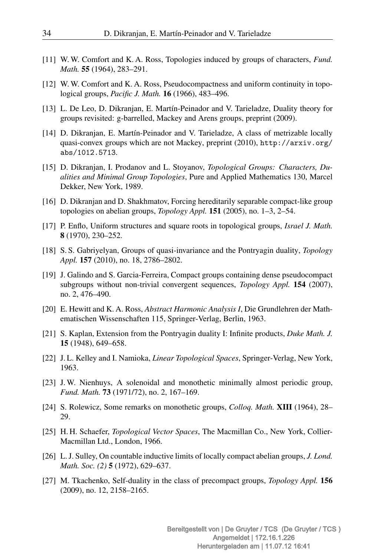- [11] W. W. Comfort and K. A. Ross, Topologies induced by groups of characters, *Fund. Math.* 55 (1964), 283–291.
- [12] W. W. Comfort and K. A. Ross, Pseudocompactness and uniform continuity in topological groups, *Pacific J. Math.* 16 (1966), 483–496.
- [13] L. De Leo, D. Dikranjan, E. Martín-Peinador and V. Tarieladze, Duality theory for groups revisited: g-barrelled, Mackey and Arens groups, preprint (2009).
- [14] D. Dikranjan, E. Martín-Peinador and V. Tarieladze, A class of metrizable locally quasi-convex groups which are not Mackey, preprint (2010), [http://arxiv.org/](http://arxiv.org/abs/1012.5713) [abs/1012.5713](http://arxiv.org/abs/1012.5713).
- [15] D. Dikranjan, I. Prodanov and L. Stoyanov, *Topological Groups: Characters, Dualities and Minimal Group Topologies*, Pure and Applied Mathematics 130, Marcel Dekker, New York, 1989.
- [16] D. Dikranjan and D. Shakhmatov, Forcing hereditarily separable compact-like group topologies on abelian groups, *Topology Appl.* 151 (2005), no. 1–3, 2–54.
- [17] P. Enflo, Uniform structures and square roots in topological groups, *Israel J. Math.* 8 (1970), 230–252.
- [18] S. S. Gabriyelyan, Groups of quasi-invariance and the Pontryagin duality, *Topology Appl.* 157 (2010), no. 18, 2786–2802.
- [19] J. Galindo and S. Garcia-Ferreira, Compact groups containing dense pseudocompact subgroups without non-trivial convergent sequences, *Topology Appl.* 154 (2007), no. 2, 476–490.
- [20] E. Hewitt and K. A. Ross, *Abstract Harmonic Analysis I*, Die Grundlehren der Mathematischen Wissenschaften 115, Springer-Verlag, Berlin, 1963.
- [21] S. Kaplan, Extension from the Pontryagin duality I: Infinite products, *Duke Math. J.* 15 (1948), 649–658.
- [22] J. L. Kelley and I. Namioka, *Linear Topological Spaces*, Springer-Verlag, New York, 1963.
- [23] J. W. Nienhuys, A solenoidal and monothetic minimally almost periodic group, *Fund. Math.* 73 (1971/72), no. 2, 167–169.
- [24] S. Rolewicz, Some remarks on monothetic groups, *Colloq. Math.* XIII (1964), 28– 29.
- [25] H. H. Schaefer, *Topological Vector Spaces*, The Macmillan Co., New York, Collier-Macmillan Ltd., London, 1966.
- [26] L. J. Sulley, On countable inductive limits of locally compact abelian groups, *J. Lond. Math. Soc. (2)* 5 (1972), 629–637.
- [27] M. Tkachenko, Self-duality in the class of precompact groups, *Topology Appl.* 156 (2009), no. 12, 2158–2165.